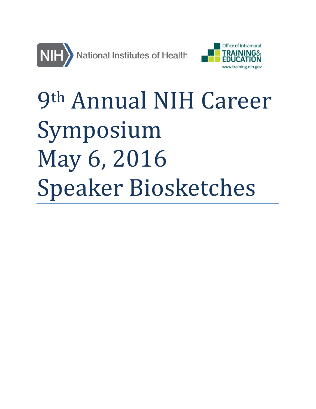



# 9th Annual NIH Career Symposium May 6, 2016 Speaker Biosketches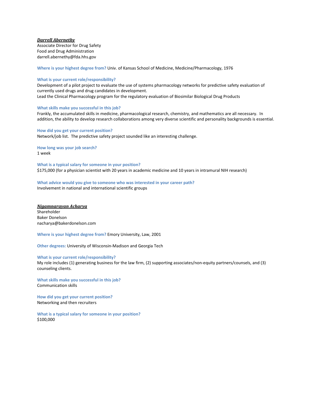## *Darrell Abernethy*

Associate Director for Drug Safety Food and Drug Administration darrell.abernethy@fda.hhs.gov

**Where is your highest degree from?** Univ. of Kansas School of Medicine, Medicine/Pharmacology, 1976

## **What is your current role/responsibility?**

Development of a pilot project to evaluate the use of systems pharmacology networks for predictive safety evaluation of currently used drugs and drug candidates in development. Lead the Clinical Pharmacology program for the regulatory evaluation of Biosimilar Biological Drug Products

**What skills make you successful in this job?** 

Frankly, the accumulated skills in medicine, pharmacological research, chemistry, and mathematics are all necessary. In addition, the ability to develop research collaborations among very diverse scientific and personality backgrounds is essential.

## **How did you get your current position?**

Network/job list. The predictive safety project sounded like an interesting challenge.

**How long was your job search?** 1 week

**What is a typical salary for someone in your position?** \$175,000 (for a physician scientist with 20 years in academic medicine and 10 years in intramural NIH research)

**What advice would you give to someone who was interested in your career path?** Involvement in national and international scientific groups

#### *Nigamnarayan Acharya*

Shareholder Baker Donelson nacharya@bakerdonelson.com

**Where is your highest degree from?** Emory University, Law, 2001

**Other degrees:** University of Wisconsin-Madison and Georgia Tech

#### **What is your current role/responsibility?**

My role includes (1) generating business for the law firm, (2) supporting associates/non-equity partners/counsels, and (3) counseling clients.

**What skills make you successful in this job?**  Communication skills

**How did you get your current position?**  Networking and then recruiters

**What is a typical salary for someone in your position?** \$100,000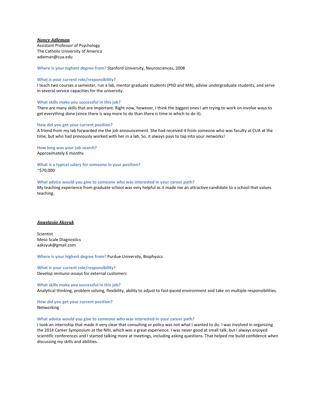## *Nancy Adleman*

Assistant Professor of Psychology The Catholic University of America adleman@cua.edu

**Where is your highest degree from?** Stanford University, Neurosciences, 2008

## **What is your current role/responsibility?**

I teach two courses a semester, run a lab, mentor graduate students (PhD and MA), advise undergraduate students, and serve in several service capacities for the university.

## **What skills make you successful in this job?**

There are many skills that are important. Right now, however, I think the biggest ones I am trying to work on involve ways to get everything done (since there is way more to do than there is time in which to do it).

#### **How did you get your current position?**

A friend from my lab forwarded me the job announcement. She had received it from someone who was faculty at CUA at the time, but who had previously worked with her in a lab. So, it always pays to tap into your networks!

**How long was your job search?** Approximately 6 months

**What is a typical salary for someone in your position?** ~\$70,000

#### **What advice would you give to someone who was interested in your career path?**

My teaching experience from graduate school was very helpful as it made me an attractive candidate to a school that values teaching.

## *Anastasia Aksyuk*

Scientist Meso Scale Diagnostics aaksyuk@gmail.com

**Where is your highest degree from?** Purdue University, Biophysics

**What is your current role/responsibility?**  Develop immuno-assays for external customers

**What skills make you successful in this job?**  Analytical thinking, problem solving, flexibility, ability to adjust to fast-paced environment and take on multiple responsibilities.

**How did you get your current position?**  Networking

#### **What advice would you give to someone who was interested in your career path?**

I took an internship that made it very clear that consulting or policy was not what I wanted to do. I was involved in organizing the 2014 Career Symposium at the NIH, which was a great experience. I was never good at small talk, but I always enjoyed scientific conferences and I started talking more at meetings, including asking questions. That helped me build confidence when discussing my skills and abilities.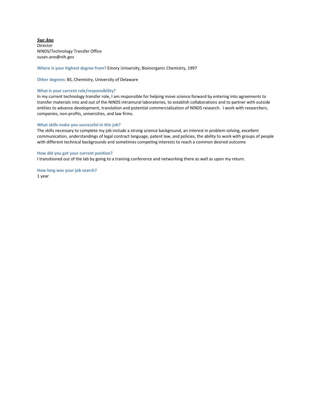*Sue Ano* Director NINDS/Technology Transfer Office susan.ano@nih.gov

**Where is your highest degree from?** Emory University, Bioinorganic Chemistry, 1997

**Other degrees:** BS, Chemistry, University of Delaware

#### **What is your current role/responsibility?**

In my current technology transfer role, I am responsible for helping move science forward by entering into agreements to transfer materials into and out of the NINDS intramural laboratories, to establish collaborations and to partner with outside entities to advance development, translation and potential commercialization of NINDS research. I work with researchers, companies, non-profits, universities, and law firms.

#### **What skills make you successful in this job?**

The skills necessary to complete my job include a strong science background, an interest in problem solving, excellent communication, understandings of legal contract language, patent law, and policies, the ability to work with groups of people with different technical backgrounds and sometimes competing interests to reach a common desired outcome

#### **How did you get your current position?**

I transitioned out of the lab by going to a training conference and networking there as well as upon my return.

**How long was your job search?** 1 year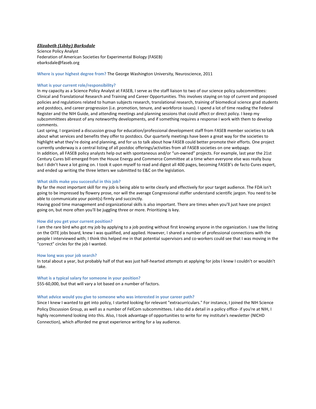## *Elizabeth (Libby) Barksdale*

Science Policy Analyst Federation of American Societies for Experimental Biology (FASEB) ebarksdale@faseb.org

**Where is your highest degree from?** The George Washington University, Neuroscience, 2011

## **What is your current role/responsibility?**

In my capacity as a Science Policy Analyst at FASEB, I serve as the staff liaison to two of our science policy subcommittees: Clinical and Translational Research and Training and Career Opportunities. This involves staying on top of current and proposed policies and regulations related to human subjects research, translational research, training of biomedical science grad students and postdocs, and career progression (i.e. promotion, tenure, and workforce issues). I spend a lot of time reading the Federal Register and the NIH Guide, and attending meetings and planning sessions that could affect or direct policy. I keep my subcommittees abreast of any noteworthy developments, and if something requires a response I work with them to develop comments.

Last spring, I organized a discussion group for education/professional development staff from FASEB member societies to talk about what services and benefits they offer to postdocs. Our quarterly meetings have been a great way for the societies to highlight what they're doing and planning, and for us to talk about how FASEB could better promote their efforts. One project currently underway is a central listing of all postdoc offerings/activities from all FASEB societies on one webpage. In addition, all FASEB policy analysts help out with spontaneous and/or "un-owned" projects. For example, last year the 21st Century Cures bill emerged from the House Energy and Commerce Committee at a time when everyone else was really busy but I didn't have a lot going on. I took it upon myself to read and digest all 400 pages, becoming FASEB's de facto Cures expert, and ended up writing the three letters we submitted to E&C on the legislation.

#### **What skills make you successful in this job?**

By far the most important skill for my job is being able to write clearly and effectively for your target audience. The FDA isn't going to be impressed by flowery prose, nor will the average Congressional staffer understand scientific jargon. You need to be able to communicate your point(s) firmly and succinctly.

Having good time management and organizational skills is also important. There are times when you'll just have one project going on, but more often you'll be juggling three or more. Prioritizing is key.

#### **How did you get your current position?**

I am the rare bird who got my job by applying to a job posting without first knowing anyone in the organization. I saw the listing on the OITE jobs board, knew I was qualified, and applied. However, I shared a number of professional connections with the people I interviewed with; I think this helped me in that potential supervisors and co-workers could see that I was moving in the "correct" circles for the job I wanted.

#### **How long was your job search?**

In total about a year, but probably half of that was just half-hearted attempts at applying for jobs I knew I couldn't or wouldn't take.

#### **What is a typical salary for someone in your position?**

\$55-60,000, but that will vary a lot based on a number of factors.

#### **What advice would you give to someone who was interested in your career path?**

Since I knew I wanted to get into policy, I started looking for relevant "extracurriculars." For instance, I joined the NIH Science Policy Discussion Group, as well as a number of FelCom subcommittees. I also did a detail in a policy office- if you're at NIH, I highly recommend looking into this. Also, I took advantage of opportunities to write for my institute's newsletter (NICHD Connection), which afforded me great experience writing for a lay audience.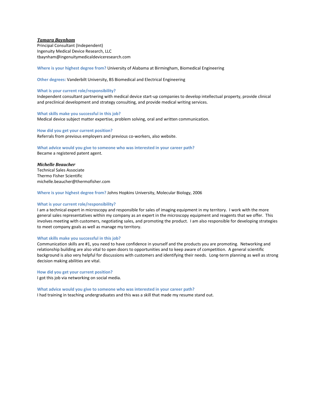## *Tamara Baynham*

Principal Consultant (Independent) Ingenuity Medical Device Research, LLC tbaynham@ingenuitymedicaldeviceresearch.com

**Where is your highest degree from?** University of Alabama at Birmingham, Biomedical Engineering

**Other degrees:** Vanderbilt University, BS Biomedical and Electrical Engineering

#### **What is your current role/responsibility?**

Independent consultant partnering with medical device start-up companies to develop intellectual property, provide clinical and preclinical development and strategy consulting, and provide medical writing services.

# **What skills make you successful in this job?**

Medical device subject matter expertise, problem solving, oral and written communication.

## **How did you get your current position?**  Referrals from previous employers and previous co-workers, also website.

# **What advice would you give to someone who was interested in your career path?**

Became a registered patent agent.

## *Michelle Beaucher*

Technical Sales Associate Thermo Fisher Scientific michelle.beaucher@thermofisher.com

**Where is your highest degree from?** Johns Hopkins University, Molecular Biology, 2006

#### **What is your current role/responsibility?**

I am a technical expert in microscopy and responsible for sales of imaging equipment in my territory. I work with the more general sales representatives within my company as an expert in the microscopy equipment and reagents that we offer. This involves meeting with customers, negotiating sales, and promoting the product. I am also responsible for developing strategies to meet company goals as well as manage my territory.

#### **What skills make you successful in this job?**

Communication skills are #1, you need to have confidence in yourself and the products you are promoting. Networking and relationship building are also vital to open doors to opportunities and to keep aware of competition. A general scientific background is also very helpful for discussions with customers and identifying their needs. Long-term planning as well as strong decision making abilities are vital.

**How did you get your current position?** 

I got this job via networking on social media.

**What advice would you give to someone who was interested in your career path?** I had training in teaching undergraduates and this was a skill that made my resume stand out.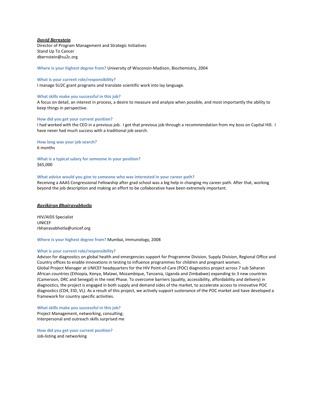## *David Bernstein*

Director of Program Management and Strategic Initiatives Stand Up To Cancer dbernstein@su2c.org

**Where is your highest degree from?** University of Wisconsin-Madison, Biochemistry, 2004

## **What is your current role/responsibility?**

I manage SU2C grant programs and translate scientific work into lay language.

## **What skills make you successful in this job?**

A focus on detail, an interest in process, a desire to measure and analyze when possible, and most importantly the ability to keep things in perspective.

#### **How did you get your current position?**

I had worked with the CEO in a previous job. I got that previous job through a recommendation from my boss on Capital Hill. I have never had much success with a traditional job search.

**How long was your job search?**

6 months

**What is a typical salary for someone in your position?** \$65,000

## **What advice would you give to someone who was interested in your career path?**

Receiving a AAAS Congressional Fellowship after grad school was a big help in changing my career path. After that, working beyond the job description and making an effort to be collaborative have been extremely important.

## *Ravikiran Bhairavabhotla*

HIV/AIDS Specialist UNICEF rbhairavabhotla@unicef.org

**Where is your highest degree from?** Mumbai, Immunology, 2008

#### **What is your current role/responsibility?**

Advisor for diagnostics on global health and emergencies support for Programme Division, Supply Division, Regional Office and Country offices to enable innovations in testing to influence programmes for children and pregnant women. Global Project Manager at UNICEF headquarters for the HIV Point-of-Care (POC) diagnostics project across 7 sub Saharan African countries (Ethiopia, Kenya, Malawi, Mozambique, Tanzania, Uganda and Zimbabwe) expanding to 3 new countries (Cameroon, DRC and Senegal) in the next Phase. To overcome barriers (quality, accessibility, affordability and delivery) in diagnostics, the project is engaged in both supply and demand sides of the market, to accelerate access to innovative POC diagnostics (CD4, EID, VL). As a result of this project, we actively support sustenance of the POC market and have developed a framework for country specific activities.

**What skills make you successful in this job?**  Project Management, networking, consulting; Interpersonal and outreach skills surprised me

**How did you get your current position?**  Job-listing and networking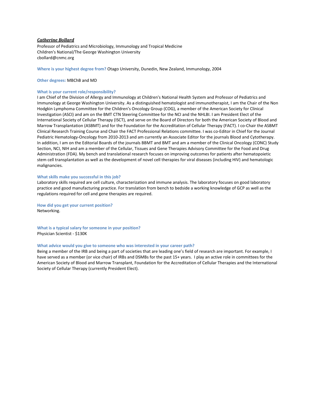## *Catherine Bollard*

Professor of Pediatrics and Microbiology, Immunology and Tropical Medicine Children's National/The George Washington University cbollard@cnmc.org

**Where is your highest degree from?** Otago University, Dunedin, New Zealand, Immunology, 2004

#### **Other degrees:** MBChB and MD

### **What is your current role/responsibility?**

I am Chief of the Division of Allergy and Immunology at Children's National Health System and Professor of Pediatrics and Immunology at George Washington University. As a distinguished hematologist and immunotherapist, I am the Chair of the Non Hodgkin Lymphoma Committee for the Children's Oncology Group (COG), a member of the American Society for Clinical Investigation (ASCI) and am on the BMT CTN Steering Committee for the NCI and the NHLBI. I am President Elect of the International Society of Cellular Therapy (ISCT), and serve on the Board of Directors for both the American Society of Blood and Marrow Transplantation (ASBMT) and for the Foundation for the Accreditation of Cellular Therapy (FACT). I co-Chair the ASBMT Clinical Research Training Course and Chair the FACT Professional Relations committee. I was co-Editor in Chief for the Journal Pediatric Hematology-Oncology from 2010-2013 and am currently an Associate Editor for the journals Blood and Cytotherapy. In addition, I am on the Editorial Boards of the journals BBMT and BMT and am a member of the Clinical Oncology (CONC) Study Section, NCI, NIH and am a member of the Cellular, Tissues and Gene Therapies Advisory Committee for the Food and Drug Administration (FDA). My bench and translational research focuses on improving outcomes for patients after hematopoietic stem cell transplantation as well as the development of novel cell therapies for viral diseases (including HIV) and hematologic malignancies.

#### **What skills make you successful in this job?**

Laboratory skills required are cell culture, characterization and immune analysis. The laboratory focuses on good laboratory practice and good manufacturing practice. For translation from bench to bedside a working knowledge of GCP as well as the regulations required for cell and gene therapies are required.

**How did you get your current position?**  Networking.

**What is a typical salary for someone in your position?** Physician Scientist - \$130K

#### **What advice would you give to someone who was interested in your career path?**

Being a member of the IRB and being a part of societies that are leading one's field of research are important. For example, I have served as a member (or vice chair) of IRBs and DSMBs for the past 15+ years. I play an active role in committees for the American Society of Blood and Marrow Transplant, Foundation for the Accreditation of Cellular Therapies and the International Society of Cellular Therapy (currently President Elect).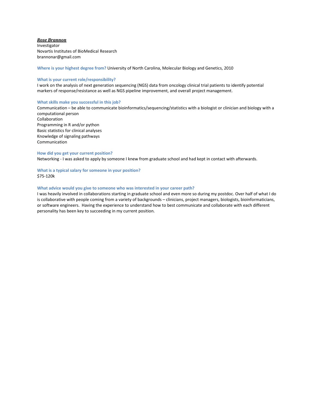## *Rose Brannon*

Investigator Novartis Institutes of BioMedical Research brannonar@gmail.com

**Where is your highest degree from?** University of North Carolina, Molecular Biology and Genetics, 2010

## **What is your current role/responsibility?**

I work on the analysis of next generation sequencing (NGS) data from oncology clinical trial patients to identify potential markers of response/resistance as well as NGS pipeline improvement, and overall project management.

## **What skills make you successful in this job?**

Communication – be able to communicate bioinformatics/sequencing/statistics with a biologist or clinician and biology with a computational person

Collaboration Programming in R and/or python Basic statistics for clinical analyses Knowledge of signaling pathways Communication

## **How did you get your current position?**

Networking - I was asked to apply by someone I knew from graduate school and had kept in contact with afterwards.

## **What is a typical salary for someone in your position?** \$75-120k

## **What advice would you give to someone who was interested in your career path?**

I was heavily involved in collaborations starting in graduate school and even more so during my postdoc. Over half of what I do is collaborative with people coming from a variety of backgrounds – clinicians, project managers, biologists, bioinformaticians, or software engineers. Having the experience to understand how to best communicate and collaborate with each different personality has been key to succeeding in my current position.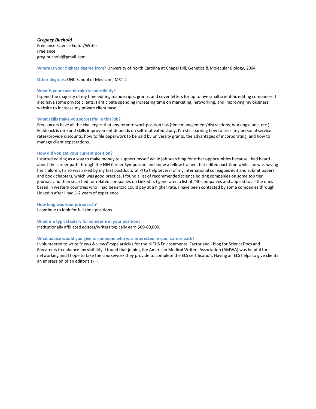## *Gregory Buchold*

Freelance Science Editor/Writer Freelance greg.buchold@gmail.com

**Where is your highest degree from?** University of North Carolina at Chapel Hill, Genetics & Molecular Biology, 2004

## **Other degrees:** UNC School of Medicine, MS1-2

#### **What is your current role/responsibility?**

I spend the majority of my time editing manuscripts, grants, and cover letters for up to five small scientific editing companies. I also have some private clients. I anticipate spending increasing time on marketing, networking, and improving my business website to increase my private client base.

#### **What skills make you successful in this job?**

Freelancers have all the challenges that any remote work position has (time management/distractions, working alone, etc.). Feedback is rare and skills improvement depends on self-motivated study. I'm still learning how to price my personal service rates/provide discounts, how to file paperwork to be paid by university grants, the advantages of incorporating, and how to manage client expectations.

#### **How did you get your current position?**

I started editing as a way to make money to support myself while job searching for other opportunities because I had heard about the career path through the NIH Career Symposium and knew a fellow trainee that edited part-time while she was having her children. I also was asked by my first postdoctoral PI to help several of my international colleagues edit and submit papers and book chapters, which was good practice. I found a list of recommended science editing companies on some top tier journals and then searched for related companies on LinkedIn. I generated a list of ~40 companies and applied to all the ones based in western countries who I had been told could pay at a higher rate. I have been contacted by some companies through LinkedIn after I had 1-2 years of experience.

#### **How long was your job search?**

I continue to look for full-time positions.

## **What is a typical salary for someone in your position?**

Institutionally affiliated editors/writers typically earn \$60-80,000.

#### **What advice would you give to someone who was interested in your career path?**

I volunteered to write "news & views"-type articles for the NIEHS Environmental Factor and I blog for ScienceDocs and Biocareers to enhance my visibility. I found that joining the American Medical Writers Association (AMWA) was helpful for networking and I hope to take the coursework they provide to complete the ELS certification. Having an ELS helps to give clients an impression of an editor's skill.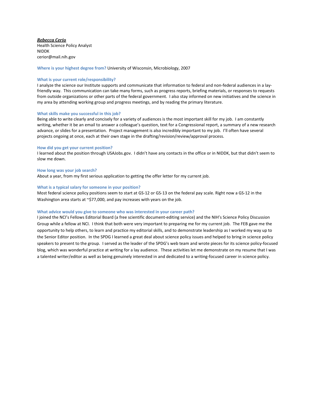*Rebecca Cerio* Health Science Policy Analyst NIDDK cerior@mail.nih.gov

**Where is your highest degree from?** University of Wisconsin, Microbiology, 2007

## **What is your current role/responsibility?**

I analyze the science our Institute supports and communicate that information to federal and non-federal audiences in a layfriendly way. This communication can take many forms, such as progress reports, briefing materials, or responses to requests from outside organizations or other parts of the federal government. I also stay informed on new initiatives and the science in my area by attending working group and progress meetings, and by reading the primary literature.

## **What skills make you successful in this job?**

Being able to write clearly and concisely for a variety of audiences is the most important skill for my job. I am constantly writing, whether it be an email to answer a colleague's question, text for a Congressional report, a summary of a new research advance, or slides for a presentation. Project management is also incredibly important to my job. I'll often have several projects ongoing at once, each at their own stage in the drafting/revision/review/approval process.

#### **How did you get your current position?**

I learned about the position through USAJobs.gov. I didn't have any contacts in the office or in NIDDK, but that didn't seem to slow me down.

#### **How long was your job search?**

About a year, from my first serious application to getting the offer letter for my current job.

#### **What is a typical salary for someone in your position?**

Most federal science policy positions seem to start at GS-12 or GS-13 on the federal pay scale. Right now a GS-12 in the Washington area starts at  $\sim$ \$77,000, and pay increases with years on the job.

#### **What advice would you give to someone who was interested in your career path?**

I joined the NCI's Fellows Editorial Board (a free scientific document-editing service) and the NIH's Science Policy Discussion Group while a fellow at NCI. I think that both were very important to preparing me for my current job. The FEB gave me the opportunity to help others, to learn and practice my editorial skills, and to demonstrate leadership as I worked my way up to the Senior Editor position. In the SPDG I learned a great deal about science policy issues and helped to bring in science policy speakers to present to the group. I served as the leader of the SPDG's web team and wrote pieces for its science policy-focused blog, which was wonderful practice at writing for a lay audience. These activities let me demonstrate on my resume that I was a talented writer/editor as well as being genuinely interested in and dedicated to a writing-focused career in science policy.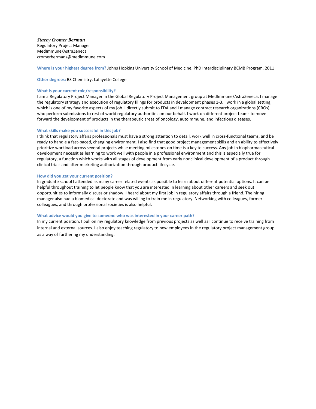## *Stacey Cromer Berman*

Regulatory Project Manager MedImmune/AstraZeneca cromerbermans@medimmune.com

**Where is your highest degree from?** Johns Hopkins University School of Medicine, PhD Interdisciplinary BCMB Program, 2011

## **Other degrees:** BS Chemistry, Lafayette College

#### **What is your current role/responsibility?**

I am a Regulatory Project Manager in the Global Regulatory Project Management group at MedImmune/AstraZeneca. I manage the regulatory strategy and execution of regulatory filings for products in development phases 1-3. I work in a global setting, which is one of my favorite aspects of my job. I directly submit to FDA and I manage contract research organizations (CROs), who perform submissions to rest of world regulatory authorities on our behalf. I work on different project teams to move forward the development of products in the therapeutic areas of oncology, autoimmune, and infectious diseases.

#### **What skills make you successful in this job?**

I think that regulatory affairs professionals must have a strong attention to detail, work well in cross-functional teams, and be ready to handle a fast-paced, changing environment. I also find that good project management skills and an ability to effectively prioritize workload across several projects while meeting milestones on time is a key to success. Any job in biopharmaceutical development necessities learning to work well with people in a professional environment and this is especially true for regulatory, a function which works with all stages of development from early nonclinical development of a product through clinical trials and after marketing authorization through product lifecycle.

#### **How did you get your current position?**

In graduate school I attended as many career related events as possible to learn about different potential options. It can be helpful throughout training to let people know that you are interested in learning about other careers and seek out opportunities to informally discuss or shadow. I heard about my first job in regulatory affairs through a friend. The hiring manager also had a biomedical doctorate and was willing to train me in regulatory. Networking with colleagues, former colleagues, and through professional societies is also helpful.

## **What advice would you give to someone who was interested in your career path?**

In my current position, I pull on my regulatory knowledge from previous projects as well as I continue to receive training from internal and external sources. I also enjoy teaching regulatory to new employees in the regulatory project management group as a way of furthering my understanding.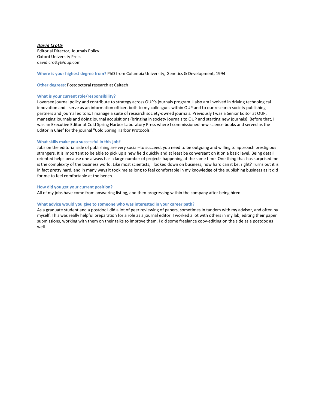## *David Crotty* Editorial Director, Journals Policy Oxford University Press david.crotty@oup.com

## **Where is your highest degree from?** PhD from Columbia University, Genetics & Development, 1994

## **Other degrees:** Postdoctoral research at Caltech

## **What is your current role/responsibility?**

I oversee journal policy and contribute to strategy across OUP's journals program. I also am involved in driving technological innovation and I serve as an information officer, both to my colleagues within OUP and to our research society publishing partners and journal editors. I manage a suite of research society-owned journals. Previously I was a Senior Editor at OUP, managing journals and doing journal acquisitions (bringing in society journals to OUP and starting new journals). Before that, I was an Executive Editor at Cold Spring Harbor Laboratory Press where I commissioned new science books and served as the Editor in Chief for the journal "Cold Spring Harbor Protocols".

## **What skills make you successful in this job?**

Jobs on the editorial side of publishing are very social--to succeed, you need to be outgoing and willing to approach prestigious strangers. It is important to be able to pick up a new field quickly and at least be conversant on it on a basic level. Being detail oriented helps because one always has a large number of projects happening at the same time. One thing that has surprised me is the complexity of the business world. Like most scientists, I looked down on business, how hard can it be, right? Turns out it is in fact pretty hard, and in many ways it took me as long to feel comfortable in my knowledge of the publishing business as it did for me to feel comfortable at the bench.

## **How did you get your current position?**

All of my jobs have come from answering listing, and then progressing within the company after being hired.

## **What advice would you give to someone who was interested in your career path?**

As a graduate student and a postdoc I did a lot of peer reviewing of papers, sometimes in tandem with my advisor, and often by myself. This was really helpful preparation for a role as a journal editor. I worked a lot with others in my lab, editing their paper submissions, working with them on their talks to improve them. I did some freelance copy-editing on the side as a postdoc as well.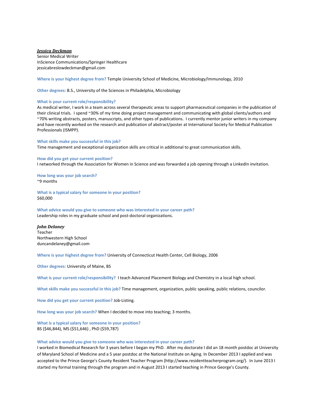## *Jessica Deckman*

Senior Medical Writer InScience Communications/Springer Healthcare jessicabreslowdeckman@gmail.com

**Where is your highest degree from?** Temple University School of Medicine, Microbiology/Immunology, 2010

**Other degrees:** B.S., University of the Sciences in Philadelphia, Microbiology

#### **What is your current role/responsibility?**

As medical writer, I work in a team across several therapeutic areas to support pharmaceutical companies in the publication of their clinical trials. I spend ~30% of my time doing project management and communicating with global clients/authors and ~70% writing abstracts, posters, manuscripts, and other types of publications. I currently mentor junior writers in my company and have recently worked on the research and publication of abstract/poster at International Society for Medical Publication Professionals (ISMPP).

#### **What skills make you successful in this job?**

Time management and exceptional organization skills are critical in additional to great communication skills.

## **How did you get your current position?**

I networked through the Association for Women in Science and was forwarded a job opening through a LinkedIn invitation.

**How long was your job search?** ~9 months

**What is a typical salary for someone in your position?** \$60,000

**What advice would you give to someone who was interested in your career path?** Leadership roles in my graduate school and post-doctoral organizations.

#### *John Delaney*

Teacher Northwestern High School duncandelaney@gmail.com

**Where is your highest degree from?** University of Connecticut Health Center, Cell Biology, 2006

**Other degrees:** University of Maine, BS

**What is your current role/responsibility?** I teach Advanced Placement Biology and Chemistry in a local high school.

**What skills make you successful in this job?** Time management, organization, public speaking, public relations, councilor.

**How did you get your current position?** Job-Listing.

**How long was your job search?** When I decided to move into teaching; 3 months.

**What is a typical salary for someone in your position?** BS (\$46,844), MS (\$51,646) , PhD (\$59,787)

#### **What advice would you give to someone who was interested in your career path?**

I worked in Biomedical Research for 3 years before I began my PhD. After my doctorate I did an 18 month postdoc at University of Maryland School of Medicine and a 5 year postdoc at the National Institute on Aging. In December 2013 I applied and was accepted to the Prince George's County Resident Teacher Program (http://www.residentteacherprogram.org/). In June 2013 I started my formal training through the program and in August 2013 I started teaching in Prince George's County.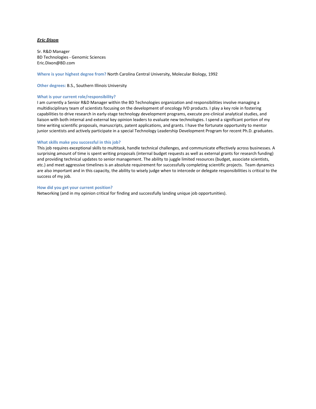## *Eric Dixon*

Sr. R&D Manager BD Technologies - Genomic Sciences Eric.Dixon@BD.com

**Where is your highest degree from?** North Carolina Central University, Molecular Biology, 1992

**Other degrees:** B.S., Southern Illinois University

## **What is your current role/responsibility?**

I am currently a Senior R&D Manager within the BD Technologies organization and responsibilities involve managing a multidisciplinary team of scientists focusing on the development of oncology IVD products. I play a key role in fostering capabilities to drive research in early-stage technology development programs, execute pre-clinical analytical studies, and liaison with both internal and external key opinion leaders to evaluate new technologies. I spend a significant portion of my time writing scientific proposals, manuscripts, patent applications, and grants. I have the fortunate opportunity to mentor junior scientists and actively participate in a special Technology Leadership Development Program for recent Ph.D. graduates.

## **What skills make you successful in this job?**

This job requires exceptional skills to multitask, handle technical challenges, and communicate effectively across businesses. A surprising amount of time is spent writing proposals (internal budget requests as well as external grants for research funding) and providing technical updates to senior management. The ability to juggle limited resources (budget, associate scientists, etc.) and meet aggressive timelines is an absolute requirement for successfully completing scientific projects. Team dynamics are also important and in this capacity, the ability to wisely judge when to intercede or delegate responsibilities is critical to the success of my job.

#### **How did you get your current position?**

Networking (and in my opinion critical for finding and successfully landing unique job opportunities).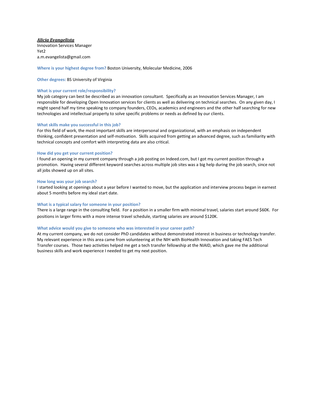## *Alicia Evangelista*

Innovation Services Manager Yet2 a.m.evangelista@gmail.com

## **Where is your highest degree from?** Boston University, Molecular Medicine, 2006

## **Other degrees:** BS University of Virginia

#### **What is your current role/responsibility?**

My job category can best be described as an innovation consultant. Specifically as an Innovation Services Manager, I am responsible for developing Open Innovation services for clients as well as delivering on technical searches. On any given day, I might spend half my time speaking to company founders, CEOs, academics and engineers and the other half searching for new technologies and intellectual property to solve specific problems or needs as defined by our clients.

#### **What skills make you successful in this job?**

For this field of work, the most important skills are interpersonal and organizational, with an emphasis on independent thinking, confident presentation and self-motivation. Skills acquired from getting an advanced degree, such as familiarity with technical concepts and comfort with interpreting data are also critical.

#### **How did you get your current position?**

I found an opening in my current company through a job posting on Indeed.com, but I got my current position through a promotion. Having several different keyword searches across multiple job sites was a big help during the job search, since not all jobs showed up on all sites.

#### **How long was your job search?**

I started looking at openings about a year before I wanted to move, but the application and interview process began in earnest about 5 months before my ideal start date.

#### **What is a typical salary for someone in your position?**

There is a large range in the consulting field. For a position in a smaller firm with minimal travel, salaries start around \$60K. For positions in larger firms with a more intense travel schedule, starting salaries are around \$120K.

#### **What advice would you give to someone who was interested in your career path?**

At my current company, we do not consider PhD candidates without demonstrated interest in business or technology transfer. My relevant experience in this area came from volunteering at the NIH with BioHealth Innovation and taking FAES Tech Transfer courses. Those two activities helped me get a tech transfer fellowship at the NIAID, which gave me the additional business skills and work experience I needed to get my next position.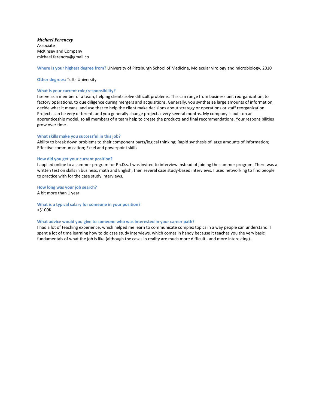## *Michael Ferenczy*

Associate McKinsey and Company michael.ferenczy@gmail.co

**Where is your highest degree from?** University of Pittsburgh School of Medicine, Molecular virology and microbiology, 2010

**Other degrees:** Tufts University

## **What is your current role/responsibility?**

I serve as a member of a team, helping clients solve difficult problems. This can range from business unit reorganization, to factory operations, to due diligence during mergers and acquisitions. Generally, you synthesize large amounts of information, decide what it means, and use that to help the client make decisions about strategy or operations or staff reorganization. Projects can be very different, and you generally change projects every several months. My company is built on an apprenticeship model, so all members of a team help to create the products and final recommendations. Your responsibilities grow over time.

## **What skills make you successful in this job?**

Ability to break down problems to their component parts/logical thinking; Rapid synthesis of large amounts of information; Effective communication; Excel and powerpoint skills

## **How did you get your current position?**

I applied online to a summer program for Ph.D.s. I was invited to interview instead of joining the summer program. There was a written test on skills in business, math and English, then several case study-based interviews. I used networking to find people to practice with for the case study interviews.

**How long was your job search?** A bit more than 1 year

**What is a typical salary for someone in your position?** >\$100K

## **What advice would you give to someone who was interested in your career path?**

I had a lot of teaching experience, which helped me learn to communicate complex topics in a way people can understand. I spent a lot of time learning how to do case study interviews, which comes in handy because it teaches you the very basic fundamentals of what the job is like (although the cases in reality are much more difficult - and more interesting).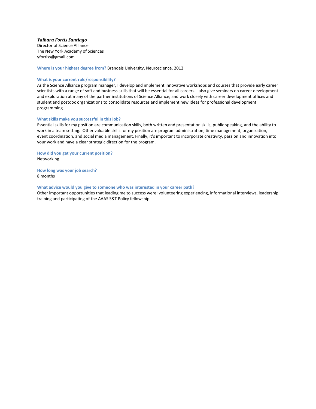## *Yaihara Fortis Santiago*

Director of Science Alliance The New York Academy of Sciences yfortiss@gmail.com

**Where is your highest degree from?** Brandeis University, Neuroscience, 2012

## **What is your current role/responsibility?**

As the Science Alliance program manager, I develop and implement innovative workshops and courses that provide early career scientists with a range of soft and business skills that will be essential for all careers. I also give seminars on career development and exploration at many of the partner institutions of Science Alliance; and work closely with career development offices and student and postdoc organizations to consolidate resources and implement new ideas for professional development programming.

## **What skills make you successful in this job?**

Essential skills for my position are communication skills, both written and presentation skills, public speaking, and the ability to work in a team setting. Other valuable skills for my position are program administration, time management, organization, event coordination, and social media management. Finally, it's important to incorporate creativity, passion and innovation into your work and have a clear strategic direction for the program.

**How did you get your current position?**  Networking.

**How long was your job search?** 8 months

#### **What advice would you give to someone who was interested in your career path?**

Other important opportunities that leading me to success were: volunteering experiencing, informational interviews, leadership training and participating of the AAAS S&T Policy fellowship.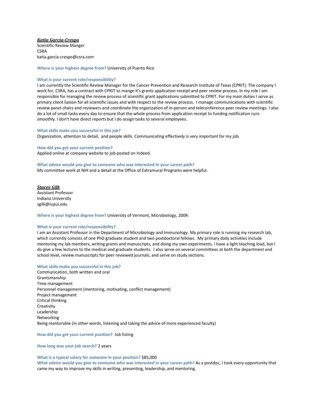## *Katia Garcia-Crespo*

Scientific Review Manger **CSRA** katia.garcia-crespo@csra.com

**Where is your highest degree from?** University of Puerto Rico

#### **What is your current role/responsibility?**

I am currently the Scientific Review Manager for the Cancer Prevention and Research Institute of Texas (CPRIT). The company I work for, CSRA, has a contract with CPRIT to mange it's grants application receipt and peer review process. In my role I am responsible for managing the review process of scientific grant applications submitted to CPRIT. For my main duties I serve as primary client liaison for all scientific issues and with respect to the review process. I manage communications with scientific review panel chairs and reviewers and coordinate the organization of in-person and teleconference peer review meetings. I also do a lot of small tasks every day to ensure that the whole process from application receipt to funding notification runs smoothly. I don't have direct reports but I do assign tasks to several employees.

#### **What skills make you successful in this job?**

Organization, attention to detail, and people skills. Communicating effectively is very important for my job.

## **How did you get your current position?**

Applied online at company website to job posted on Indeed.

**What advice would you give to someone who was interested in your career path?** My committee work at NIH and a detail at the Office of Extramural Programs were helpful.

*Stacey Gilk* Assistant Professor Indiana University sgilk@iupui.edu

**Where is your highest degree from?** University of Vermont, Microbiology, 2004**:** 

#### **What is your current role/responsibility?**

I am an Assistant Professor in the Department of Microbiology and Immunology. My primary role is running my research lab, which currently consists of one PhD graduate student and two postdoctoral fellows. My primary daily activities include mentoring my lab members, writing grants and manuscripts, and doing my own experiments. I have a light teaching load, but I do give a few lectures to the medical and graduate students. I also serve on several committees at both the department and school level, review manuscripts for peer reviewed journals, and serve on study sections.

#### **What skills make you successful in this job?**

Communication, both written and oral Grantsmanship Time management Personnel management (mentoring, motivating, conflict management) Project management Critical thinking **Creativity** Leadership Networking Being mentorable (in other words, listening and taking the advice of more experienced faculty)

**How did you get your current position?** Job listing

**How long was your job search?** 2 years

## **What is a typical salary for someone in your position?** \$85,000

**What advice would you give to someone who was interested in your career path?** As a postdoc, I took every opportunity that came my way to improve my skills in writing, presenting, leadership, and mentoring.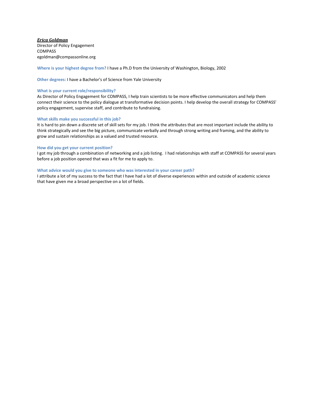*Erica Goldman* Director of Policy Engagement COMPASS egoldman@compassonline.org

**Where is your highest degree from?** I have a Ph.D from the University of Washington, Biology, 2002

**Other degrees:** I have a Bachelor's of Science from Yale University

#### **What is your current role/responsibility?**

As Director of Policy Engagement for COMPASS, I help train scientists to be more effective communicators and help them connect their science to the policy dialogue at transformative decision points. I help develop the overall strategy for COMPASS' policy engagement, supervise staff, and contribute to fundraising.

## **What skills make you successful in this job?**

It is hard to pin down a discrete set of skill sets for my job. I think the attributes that are most important include the ability to think strategically and see the big picture, communicate verbally and through strong writing and framing, and the ability to grow and sustain relationships as a valued and trusted resource.

## **How did you get your current position?**

I got my job through a combination of networking and a job listing. I had relationships with staff at COMPASS for several years before a job position opened that was a fit for me to apply to.

## **What advice would you give to someone who was interested in your career path?**

I attribute a lot of my success to the fact that I have had a lot of diverse experiences within and outside of academic science that have given me a broad perspective on a lot of fields.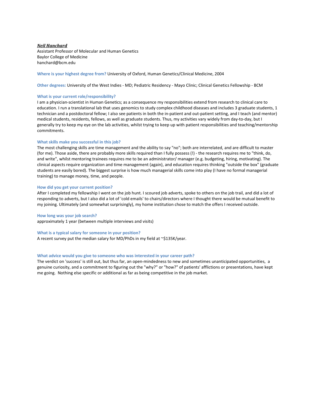## *Neil Hanchard* Assistant Professor of Molecular and Human Genetics Baylor College of Medicine hanchard@bcm.edu

## **Where is your highest degree from?** University of Oxford, Human Genetics/Clinical Medicine, 2004

**Other degrees:** University of the West Indies - MD; Pediatric Residency - Mayo Clinic; Clinical Genetics Fellowship - BCM

#### **What is your current role/responsibility?**

I am a physician-scientist in Human Genetics; as a consequence my responsibilities extend from research to clinical care to education. I run a translational lab that uses genomics to study complex childhood diseases and includes 3 graduate students, 1 technician and a postdoctoral fellow; I also see patients in both the in-patient and out-patient setting, and I teach (and mentor) medical students, residents, fellows, as well as graduate students. Thus, my activities vary widely from day-to-day, but I generally try to keep my eye on the lab activities, whilst trying to keep up with patient responsibilities and teaching/mentorship commitments.

## **What skills make you successful in this job?**

The most challenging skills are time management and the ability to say "no"; both are interrelated, and are difficult to master (for me). Those aside, there are probably more skills required than I fully possess (!) - the research requires me to "think, do, and write", whilst mentoring trainees requires me to be an administrator/ manager (e.g. budgeting, hiring, motivating). The clinical aspects require organization and time management (again), and education requires thinking "outside the box" (graduate students are easily bored). The biggest surprise is how much managerial skills come into play (I have no formal managerial training) to manage money, time, and people.

#### **How did you get your current position?**

After I completed my fellowship I went on the job hunt. I scoured job adverts, spoke to others on the job trail, and did a lot of responding to adverts, but I also did a lot of 'cold emails' to chairs/directors where I thought there would be mutual benefit to my joining. Ultimately (and somewhat surprisingly), my home institution chose to match the offers I received outside.

#### **How long was your job search?**

approximately 1 year (between multiple interviews and visits)

#### **What is a typical salary for someone in your position?**

A recent survey put the median salary for MD/PhDs in my field at ~\$135K/year.

#### **What advice would you give to someone who was interested in your career path?**

The verdict on 'success' is still out, but thus far, an open-mindedness to new and sometimes unanticipated opportunities, a genuine curiosity, and a commitment to figuring out the "why?" or "how?" of patients' afflictions or presentations, have kept me going. Nothing else specific or additional as far as being competitive in the job market.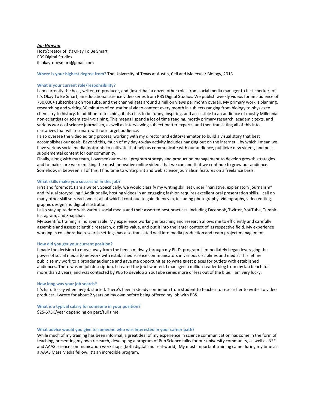## *Joe Hanson* Host/creator of It's Okay To Be Smart PBS Digital Studios itsokaytobesmart@gmail.com

## **Where is your highest degree from?** The University of Texas at Austin, Cell and Molecular Biology, 2013

## **What is your current role/responsibility?**

I am currently the host, writer, co-producer, and (insert half a dozen other roles from social media manager to fact-checker) of It's Okay To Be Smart, an educational science video series from PBS Digital Studios. We publish weekly videos for an audience of 730,000+ subscribers on YouTube, and the channel gets around 3 million views per month overall. My primary work is planning, researching and writing 30 minutes of educational video content every month in subjects ranging from biology to physics to chemistry to history. In addition to teaching, it also has to be funny, inspiring, and accessible to an audience of mostly Millennial non-scientists or scientists-in-training. This means I spend a lot of time reading, mostly primary research, academic texts, and various works of science journalism, as well as interviewing subject matter experts, and then translating all of this into narratives that will resonate with our target audience.

I also oversee the video editing process, working with my director and editor/animator to build a visual story that best accomplishes our goals. Beyond this, much of my day-to-day activity includes hanging out on the internet… by which I mean we have various social media footprints to cultivate that help us communicate with our audience, publicize new videos, and post supplemental content for our community.

Finally, along with my team, I oversee our overall program strategy and production management to develop growth strategies and to make sure we're making the most innovative online videos that we can and that we continue to grow our audience. Somehow, in between all of this, I find time to write print and web science journalism features on a freelance basis.

## **What skills make you successful in this job?**

First and foremost, I am a writer. Specifically, we would classify my writing skill set under "narrative, explanatory journalism" and "visual storytelling." Additionally, hosting videos in an engaging fashion requires excellent oral presentation skills. I call on many other skill sets each week, all of which I continue to gain fluency in, including photography, videography, video editing, graphic design and digital illustration.

I also stay up to date with various social media and their assorted best practices, including Facebook, Twitter, YouTube, Tumblr, Instagram, and Snapchat.

My scientific training is indispensable. My experience working in teaching and research allows me to efficiently and carefully assemble and assess scientific research, distill its value, and put it into the larger context of its respective field. My experience working in collaborative research settings has also translated well into media production and team project management.

#### **How did you get your current position?**

I made the decision to move away from the bench midway through my Ph.D. program. I immediately began leveraging the power of social media to network with established science communicators in various disciplines and media. This let me publicize my work to a broader audience and gave me opportunities to write guest pieces for outlets with established audiences. There was no job description, I created the job I wanted. I managed a million-reader blog from my lab bench for more than 2 years, and was contacted by PBS to develop a YouTube series more or less out of the blue. I am very lucky.

#### **How long was your job search?**

It's hard to say when my job started. There's been a steady continuum from student to teacher to researcher to writer to video producer. I wrote for about 2 years on my own before being offered my job with PBS.

## **What is a typical salary for someone in your position?**

\$25-\$75K/year depending on part/full time.

#### **What advice would you give to someone who was interested in your career path?**

While much of my training has been informal, a great deal of my experience in science communication has come in the form of teaching, presenting my own research, developing a program of Pub Science talks for our university community, as well as NSF and AAAS science communication workshops (both digital and real-world). My most important training came during my time as a AAAS Mass Media fellow. It's an incredible program.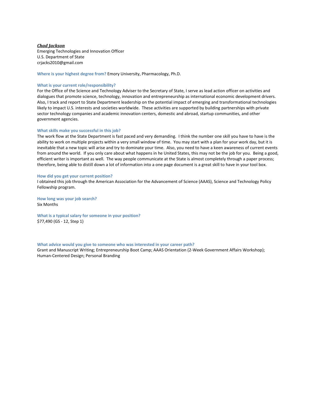## *Chad Jackson*

Emerging Technologies and Innovation Officer U.S. Department of State crjacks2010@gmail.com

**Where is your highest degree from?** Emory University, Pharmacology, Ph.D.

#### **What is your current role/responsibility?**

For the Office of the Science and Technology Adviser to the Secretary of State, I serve as lead action officer on activities and dialogues that promote science, technology, innovation and entrepreneurship as international economic development drivers. Also, I track and report to State Department leadership on the potential impact of emerging and transformational technologies likely to impact U.S. interests and societies worldwide. These activities are supported by building partnerships with private sector technology companies and academic innovation centers, domestic and abroad, startup communities, and other government agencies.

#### **What skills make you successful in this job?**

The work flow at the State Department is fast paced and very demanding. I think the number one skill you have to have is the ability to work on multiple projects within a very small window of time. You may start with a plan for your work day, but it is inevitable that a new topic will arise and try to dominate your time. Also, you need to have a keen awareness of current events from around the world. If you only care about what happens in he United States, this may not be the job for you. Being a good, efficient writer is important as well. The way people communicate at the State is almost completely through a paper process; therefore, being able to distill down a lot of information into a one page document is a great skill to have in your tool box.

#### **How did you get your current position?**

I obtained this job through the American Association for the Advancement of Science (AAAS), Science and Technology Policy Fellowship program.

**How long was your job search?** Six Months

**What is a typical salary for someone in your position?** \$77,490 (GS - 12, Step 1)

#### **What advice would you give to someone who was interested in your career path?**

Grant and Manuscript Writing; Entrepreneurship Boot Camp; AAAS Orientation (2-Week Government Affairs Workshop); Human-Centered Design; Personal Branding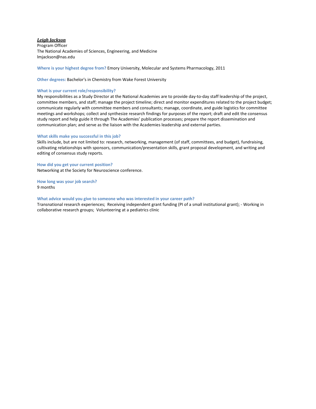## *Leigh Jackson*

Program Officer The National Academies of Sciences, Engineering, and Medicine lmjackson@nas.edu

**Where is your highest degree from?** Emory University, Molecular and Systems Pharmacology, 2011

**Other degrees:** Bachelor's in Chemistry from Wake Forest University

#### **What is your current role/responsibility?**

My responsibilities as a Study Director at the National Academies are to provide day-to-day staff leadership of the project, committee members, and staff; manage the project timeline; direct and monitor expenditures related to the project budget; communicate regularly with committee members and consultants; manage, coordinate, and guide logistics for committee meetings and workshops; collect and synthesize research findings for purposes of the report; draft and edit the consensus study report and help guide it through The Academies' publication processes; prepare the report dissemination and communication plan; and serve as the liaison with the Academies leadership and external parties.

## **What skills make you successful in this job?**

Skills include, but are not limited to: research, networking, management (of staff, committees, and budget), fundraising, cultivating relationships with sponsors, communication/presentation skills, grant proposal development, and writing and editing of consensus study reports.

**How did you get your current position?**  Networking at the Society for Neuroscience conference.

**How long was your job search?** 9 months

#### **What advice would you give to someone who was interested in your career path?**

Transnational research experiences; Receiving independent grant funding (PI of a small institutional grant); - Working in collaborative research groups; Volunteering at a pediatrics clinic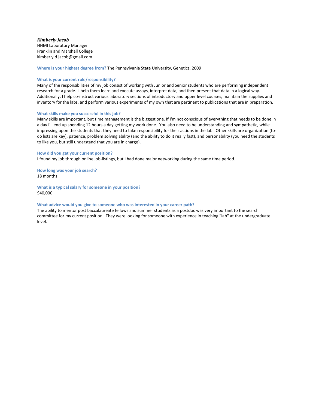## *Kimberly Jacob*

HHMI Laboratory Manager Franklin and Marshall College kimberly.d.jacob@gmail.com

**Where is your highest degree from?** The Pennsylvania State University, Genetics, 2009

## **What is your current role/responsibility?**

Many of the responsibilities of my job consist of working with Junior and Senior students who are performing independent research for a grade. I help them learn and execute assays, interpret data, and then present that data in a logical way. Additionally, I help co-instruct various laboratory sections of introductory and upper level courses, maintain the supplies and inventory for the labs, and perform various experiments of my own that are pertinent to publications that are in preparation.

## **What skills make you successful in this job?**

Many skills are important, but time management is the biggest one. If I'm not conscious of everything that needs to be done in a day I'll end up spending 12 hours a day getting my work done. You also need to be understanding and sympathetic, while impressing upon the students that they need to take responsibility for their actions in the lab. Other skills are organization (todo lists are key), patience, problem solving ability (and the ability to do it really fast), and personability (you need the students to like you, but still understand that you are in charge).

**How did you get your current position?**  I found my job through online job-listings, but I had done major networking during the same time period.

**How long was your job search?** 18 months

**What is a typical salary for someone in your position?** \$40,000

## **What advice would you give to someone who was interested in your career path?**

The ability to mentor post baccalaureate fellows and summer students as a postdoc was very important to the search committee for my current position. They were looking for someone with experience in teaching "lab" at the undergraduate level.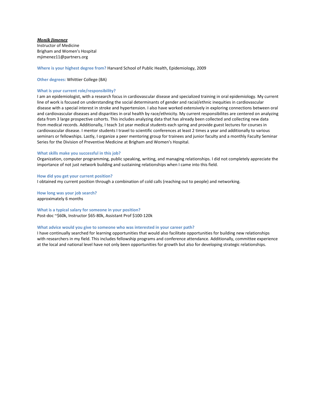## *Monik Jimenez*

Instructor of Medicine Brigham and Women's Hospital mjimenez11@partners.org

**Where is your highest degree from?** Harvard School of Public Health, Epidemiology, 2009

## **Other degrees:** Whittier College (BA)

## **What is your current role/responsibility?**

I am an epidemiologist, with a research focus in cardiovascular disease and specialized training in oral epidemiology. My current line of work is focused on understanding the social determinants of gender and racial/ethnic inequities in cardiovascular disease with a special interest in stroke and hypertension. I also have worked extensively in exploring connections between oral and cardiovascular diseases and disparities in oral health by race/ethnicity. My current responsibilites are centered on analyzing data from 3 large prospective cohorts. This includes analyzing data that has already been collected and collecting new data from medical records. Additionally, I teach 1st year medical students each spring and provide guest lectures for courses in cardiovascular disease. I mentor students I travel to scientific conferences at least 2 times a year and additionally to various seminars or fellowships. Lastly, I organize a peer mentoring group for trainees and junior faculty and a monthly Faculty Seminar Series for the Division of Preventive Medicine at Brigham and Women's Hospital.

## **What skills make you successful in this job?**

Organization, computer programming, public speaking, writing, and managing relationships. I did not completely appreciate the importance of not just network building and sustaining relationships when I came into this field.

#### **How did you get your current position?**

I obtained my current position through a combination of cold calls (reaching out to people) and networking.

**How long was your job search?** approximately 6 months

## **What is a typical salary for someone in your position?** Post-doc ~\$60k, Instructor \$65-80k, Assistant Prof \$100-120k

#### **What advice would you give to someone who was interested in your career path?**

I have continually searched for learning opportunities that would also facilitate opportunities for building new relationships with researchers in my field. This includes fellowship programs and conference attendance. Additionally, committee experience at the local and national level have not only been opportunities for growth but also for developing strategic relationships.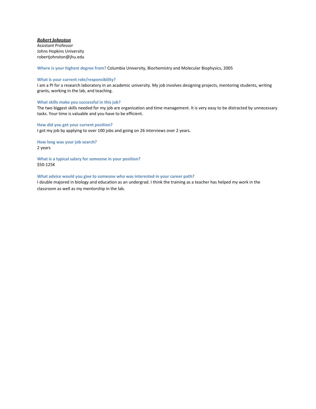## *Robert Johnston*

Assistant Professor Johns Hopkins University robertjohnston@jhu.edu

**Where is your highest degree from?** Columbia University, Biochemistry and Molecular Biophysics, 2005

## **What is your current role/responsibility?**

I am a PI for a research laboratory in an academic university. My job involves designing projects, mentoring students, writing grants, working in the lab, and teaching.

## **What skills make you successful in this job?**

The two biggest skills needed for my job are organization and time management. It is very easy to be distracted by unnecessary tasks. Your time is valuable and you have to be efficient.

## **How did you get your current position?**

I got my job by applying to over 100 jobs and going on 26 interviews over 2 years.

**How long was your job search?** 2 years

**What is a typical salary for someone in your position?** \$50-125K

## **What advice would you give to someone who was interested in your career path?**

I double majored in biology and education as an undergrad. I think the training as a teacher has helped my work in the classroom as well as my mentorship in the lab.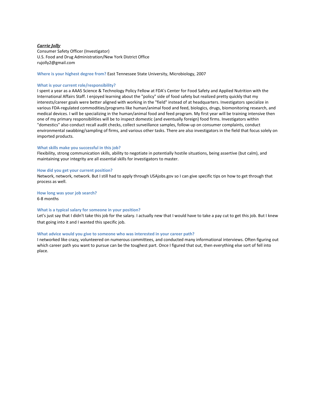## *Carrie Jolly*

Consumer Safety Officer (Investigator) U.S. Food and Drug Administration/New York District Office rujolly2@gmail.com

**Where is your highest degree from?** East Tennessee State University, Microbiology, 2007

#### **What is your current role/responsibility?**

I spent a year as a AAAS Science & Technology Policy Fellow at FDA's Center for Food Safety and Applied Nutrition with the International Affairs Staff. I enjoyed learning about the "policy" side of food safety but realized pretty quickly that my interests/career goals were better aligned with working in the "field" instead of at headquarters. Investigators specialize in various FDA-regulated commodities/programs like human/animal food and feed, biologics, drugs, biomonitoring research, and medical devices. I will be specializing in the human/animal food and feed program. My first year will be training intensive then one of my primary responsibilities will be to inspect domestic (and eventually foreign) food firms. Investigators within "domestics" also conduct recall audit checks, collect surveillance samples, follow-up on consumer complaints, conduct environmental swabbing/sampling of firms, and various other tasks. There are also investigators in the field that focus solely on imported products.

## **What skills make you successful in this job?**

Flexibility, strong communication skills, ability to negotiate in potentially hostile situations, being assertive (but calm), and maintaining your integrity are all essential skills for investigators to master.

#### **How did you get your current position?**

Network, network, network. But I still had to apply through USAjobs.gov so I can give specific tips on how to get through that process as well.

## **How long was your job search?**

6-8 months

## **What is a typical salary for someone in your position?**

Let's just say that I didn't take this job for the salary. I actually new that I would have to take a pay cut to get this job. But I knew that going into it and I wanted this specific job.

## **What advice would you give to someone who was interested in your career path?**

I networked like crazy, volunteered on numerous committees, and conducted many informational interviews. Often figuring out which career path you want to pursue can be the toughest part. Once I figured that out, then everything else sort of fell into place.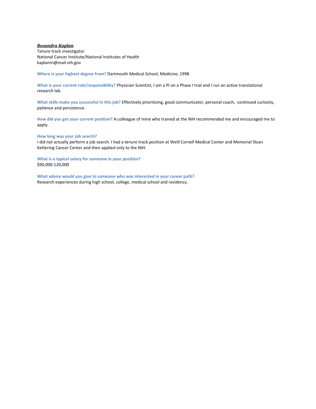## *Rosandra Kaplan*

Tenure track investigator National Cancer Institute/National Institutes of Health kaplanrn@mail.nih.gov

**Where is your highest degree from?** Dartmouth Medical School, Medicine, 1998

**What is your current role/responsibility?** Physician Scientist, I am a PI on a Phase I trial and I run an active translational research lab.

**What skills make you successful in this job?** Effectively prioritizing, good communicator, personal coach, continued curiosity, patience and persistence.

**How did you get your current position?** A colleague of mine who trained at the NIH recommended me and encouraged me to apply.

**How long was your job search?**

I did not actually perform a job search. I had a tenure track position at Weill Cornell Medical Center and Memorial Sloan Kettering Cancer Center and then applied only to the NIH.

**What is a typical salary for someone in your position?** \$90,000-120,000

**What advice would you give to someone who was interested in your career path?** Research experiences during high school, college, medical school and residency.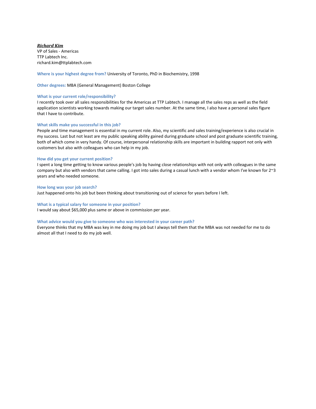## *Richard Kim*

VP of Sales - Americas TTP Labtech Inc. richard.kim@ttplabtech.com

**Where is your highest degree from?** University of Toronto, PhD in Biochemistry, 1998

**Other degrees:** MBA (General Management) Boston College

## **What is your current role/responsibility?**

I recently took over all sales responsibilities for the Americas at TTP Labtech. I manage all the sales reps as well as the field application scientists working towards making our target sales number. At the same time, I also have a personal sales figure that I have to contribute.

## **What skills make you successful in this job?**

People and time management is essential in my current role. Also, my scientific and sales training/experience is also crucial in my success. Last but not least are my public speaking ability gained during graduate school and post graduate scientific training, both of which come in very handy. Of course, interpersonal relationship skills are important in building rapport not only with customers but also with colleagues who can help in my job.

## **How did you get your current position?**

I spent a long time getting to know various people's job by having close relationships with not only with colleagues in the same company but also with vendors that came calling. I got into sales during a casual lunch with a vendor whom I've known for 2~3 years and who needed someone.

#### **How long was your job search?**

Just happened onto his job but been thinking about transitioning out of science for years before I left.

## **What is a typical salary for someone in your position?**

I would say about \$65,000 plus same or above in commission per year.

#### **What advice would you give to someone who was interested in your career path?**

Everyone thinks that my MBA was key in me doing my job but I always tell them that the MBA was not needed for me to do almost all that I need to do my job well.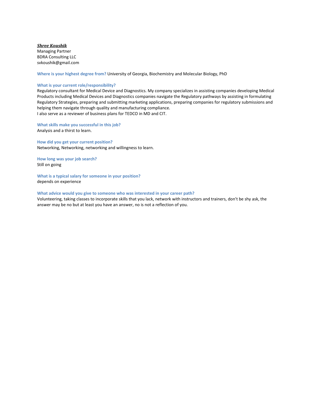*Shree Koushik* Managing Partner BDRA Consulting LLC svkoushik@gmail.com

**Where is your highest degree from?** University of Georgia, Biochemistry and Molecular Biology, PhD

## **What is your current role/responsibility?**

Regulatory consultant for Medical Device and Diagnostics. My company specializes in assisting companies developing Medical Products including Medical Devices and Diagnostics companies navigate the Regulatory pathways by assisting in formulating Regulatory Strategies, preparing and submitting marketing applications, preparing companies for regulatory submissions and helping them navigate through quality and manufacturing compliance. I also serve as a reviewer of business plans for TEDCO in MD and CIT.

**What skills make you successful in this job?**  Analysis and a thirst to learn.

**How did you get your current position?**  Networking, Networking, networking and willingness to learn.

**How long was your job search?** Still on going

**What is a typical salary for someone in your position?** depends on experience

## **What advice would you give to someone who was interested in your career path?**

Volunteering, taking classes to incorporate skills that you lack, network with instructors and trainers, don't be shy ask, the answer may be no but at least you have an answer, no is not a reflection of you.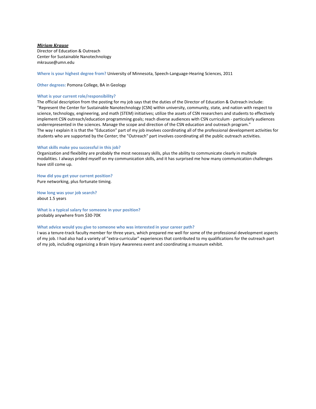## *Miriam Krause*

Director of Education & Outreach Center for Sustainable Nanotechnology mkrause@umn.edu

**Where is your highest degree from?** University of Minnesota, Speech-Language-Hearing Sciences, 2011

**Other degrees:** Pomona College, BA in Geology

#### **What is your current role/responsibility?**

The official description from the posting for my job says that the duties of the Director of Education & Outreach include: "Represent the Center for Sustainable Nanotechnology (CSN) within university, community, state, and nation with respect to science, technology, engineering, and math (STEM) initiatives; utilize the assets of CSN researchers and students to effectively implement CSN outreach/education programming goals; reach diverse audiences with CSN curriculum - particularly audiences underrepresented in the sciences. Manage the scope and direction of the CSN education and outreach program." The way I explain it is that the "Education" part of my job involves coordinating all of the professional development activities for students who are supported by the Center; the "Outreach" part involves coordinating all the public outreach activities.

## **What skills make you successful in this job?**

Organization and flexibility are probably the most necessary skills, plus the ability to communicate clearly in multiple modalities. I always prided myself on my communication skills, and it has surprised me how many communication challenges have still come up.

**How did you get your current position?**  Pure networking, plus fortunate timing.

**How long was your job search?** about 1.5 years

**What is a typical salary for someone in your position?** probably anywhere from \$30-70K

#### **What advice would you give to someone who was interested in your career path?**

I was a tenure-track faculty member for three years, which prepared me well for some of the professional development aspects of my job. I had also had a variety of "extra-curricular" experiences that contributed to my qualifications for the outreach part of my job, including organizing a Brain Injury Awareness event and coordinating a museum exhibit.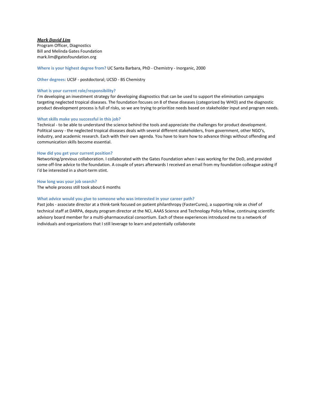## *Mark David Lim*

Program Officer, Diagnostics Bill and Melinda Gates Foundation mark.lim@gatesfoundation.org

**Where is your highest degree from?** UC Santa Barbara, PhD - Chemistry - Inorganic, 2000

**Other degrees:** UCSF - postdoctoral; UCSD - BS Chemistry

## **What is your current role/responsibility?**

I'm developing an investment strategy for developing diagnostics that can be used to support the elimination campaigns targeting neglected tropical diseases. The foundation focuses on 8 of these diseases (categorized by WHO) and the diagnostic product development process is full of risks, so we are trying to prioritize needs based on stakeholder input and program needs.

## **What skills make you successful in this job?**

Technical - to be able to understand the science behind the tools and appreciate the challenges for product development. Political savvy - the neglected tropical diseases deals with several different stakeholders, from government, other NGO's, industry, and academic research. Each with their own agenda. You have to learn how to advance things without offending and communication skills become essential.

## **How did you get your current position?**

Networking/previous collaboration. I collaborated with the Gates Foundation when I was working for the DoD, and provided some off-line advice to the foundation. A couple of years afterwards I received an email from my foundation colleague asking if I'd be interested in a short-term stint.

**How long was your job search?** The whole process still took about 6 months

## **What advice would you give to someone who was interested in your career path?**

Past jobs - associate director at a think-tank focused on patient philanthropy (FasterCures), a supporting role as chief of technical staff at DARPA, deputy program director at the NCI, AAAS Science and Technology Policy fellow, continuing scientific advisory board member for a multi-pharmaceutical consortium. Each of these experiences introduced me to a network of individuals and organizations that I still leverage to learn and potentially collaborate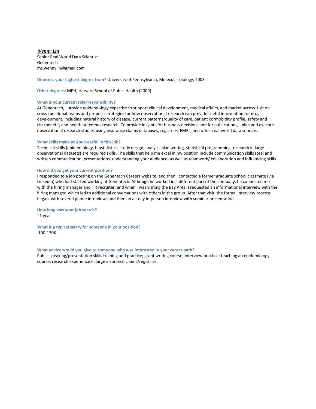*Wenny Lin* Senior Real World Data Scientist Genentech ms.wennylin@gmail.com

**Where is your highest degree from?** University of Pennsylvania, Molecular biology, 2008

**Other degrees:** MPH, Harvard School of Public Health (2009)

## **What is your current role/responsibility?**

At Genentech, I provide epidemiology expertise to support clinical development, medical affairs, and market access. I sit on cross-functional teams and propose strategies for how observational research can provide useful information for drug development, including natural history of disease, current patterns/quality of care, patient cormobidity profile, safety and risk/benefit, and health outcomes research. To provide insights for business decisions and for publications, I plan and execute observational research studies using insurance claims databases, registries, EMRs, and other real-world data sources.

#### **What skills make you successful in this job?**

Technical skills (epidemiology, biostatistics, study design, analysis plan writing, statistical programming, research in large observational datasets) are required skills. The skills that help me excel in my position include communication skills (oral and written communication, presentations, understanding your audience) as well as teamwork/ collaboration and influencing skills.

#### **How did you get your current position?**

I responded to a job posting on the Genentech Careers website, and then I contacted a former graduate school classmate (via LinkedIn) who had started working at Genentech. Although he worked in a different part of the company, he connected me with the hiring manager and HR recruiter, and when I was visiting the Bay Area, I requested an informational interview with the hiring manager, which led to additional conversations with others in the group. After that visit, the formal interview process began, with several phone interviews and then an all-day in-person interview with seminar presentation.

**How long was your job search?** ~1 year

**What is a typical salary for someone in your position?** 100-130K

#### **What advice would you give to someone who was interested in your career path?**

Public speaking/presentation skills training and practice; grant writing course; interview practice; teaching an epidemiology course; research experience in large insurance claims/registries.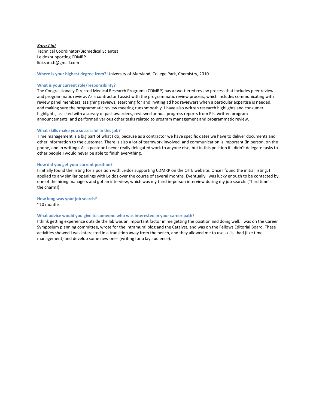*Sara Lioi* Technical Coordinator/Biomedical Scientist Leidos supporting CDMRP lioi.sara.b@gmail.com

## **Where is your highest degree from?** University of Maryland, College Park, Chemistry, 2010

#### **What is your current role/responsibility?**

The Congressionally Directed Medical Research Programs (CDMRP) has a two-tiered review process that includes peer review and programmatic review. As a contractor I assist with the programmatic review process, which includes communicating with review panel members, assigning reviews, searching for and inviting ad hoc reviewers when a particular expertise is needed, and making sure the programmatic review meeting runs smoothly. I have also written research highlights and consumer highlights, assisted with a survey of past awardees, reviewed annual progress reports from PIs, written program announcements, and performed various other tasks related to program management and programmatic review.

#### **What skills make you successful in this job?**

Time management is a big part of what I do, because as a contractor we have specific dates we have to deliver documents and other information to the customer. There is also a lot of teamwork involved, and communication is important (in person, on the phone, and in writing). As a postdoc I never really delegated work to anyone else, but in this position if I didn't delegate tasks to other people I would never be able to finish everything.

#### **How did you get your current position?**

I initially found the listing for a position with Leidos supporting CDMRP on the OITE website. Once I found the initial listing, I applied to any similar openings with Leidos over the course of several months. Eventually I was lucky enough to be contacted by one of the hiring managers and got an interview, which was my third in-person interview during my job search. (Third time's the charm!)

## **How long was your job search?**

~10 months

#### **What advice would you give to someone who was interested in your career path?**

I think getting experience outside the lab was an important factor in me getting the position and doing well. I was on the Career Symposium planning committee, wrote for the Intramural blog and the Catalyst, and was on the Fellows Editorial Board. These activities showed I was interested in a transition away from the bench, and they allowed me to use skills I had (like time management) and develop some new ones (writing for a lay audience).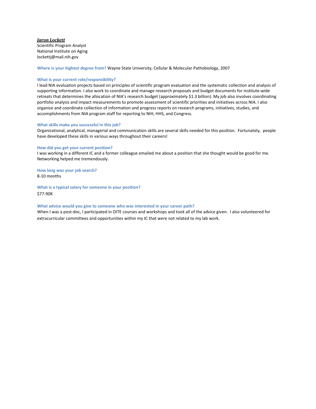## *Jaron Lockett*

Scientific Program Analyst National Institute on Aging lockettj@mail.nih.gov

**Where is your highest degree from?** Wayne State University, Cellular & Molecular Pathobiology, 2007

## **What is your current role/responsibility?**

I lead NIA evaluation projects based on principles of scientific program evaluation and the systematic collection and analysis of supporting information. I also work to coordinate and manage research proposals and budget documents for institute-wide retreats that determines the allocation of NIA's research budget (approximately \$1.3 billion). My job also involves coordinating portfolio analysis and impact measurements to promote assessment of scientific priorities and initiatives across NIA. I also organize and coordinate collection of information and progress reports on research programs, initiatives, studies, and accomplishments from NIA program staff for reporting to NIH, HHS, and Congress.

#### **What skills make you successful in this job?**

Organizational, analytical, managerial and communication skills are several skills needed for this position. Fortunately, people have developed these skills in various ways throughout their careers!

## **How did you get your current position?**

I was working in a different IC and a former colleague emailed me about a position that she thought would be good for me. Networking helped me tremendously.

**How long was your job search?** 8-10 months

**What is a typical salary for someone in your position?** \$77-90K

#### **What advice would you give to someone who was interested in your career path?**

When I was a post-doc, I participated in OITE courses and workshops and took all of the advice given. I also volunteered for extracurricular committees and opportunities within my IC that were not related to my lab work.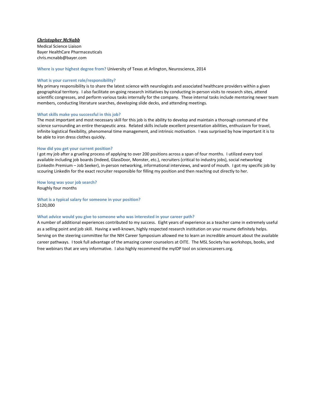## *Christopher McNabb*

Medical Science Liaison Bayer HealthCare Pharmaceuticals chris.mcnabb@bayer.com

**Where is your highest degree from?** University of Texas at Arlington, Neuroscience, 2014

#### **What is your current role/responsibility?**

My primary responsibility is to share the latest science with neurologists and associated healthcare providers within a given geographical territory. I also facilitate on-going research initiatives by conducting in-person visits to research sites, attend scientific congresses, and perform various tasks internally for the company. These internal tasks include mentoring newer team members, conducting literature searches, developing slide decks, and attending meetings.

#### **What skills make you successful in this job?**

The most important and most necessary skill for this job is the ability to develop and maintain a thorough command of the science surrounding an entire therapeutic area. Related skills include excellent presentation abilities, enthusiasm for travel, infinite logistical flexibility, phenomenal time management, and intrinsic motivation. I was surprised by how important it is to be able to iron dress clothes quickly.

#### **How did you get your current position?**

I got my job after a grueling process of applying to over 200 positions across a span of four months. I utilized every tool available including job boards (Indeed, GlassDoor, Monster, etc.), recruiters (critical to industry jobs), social networking (LinkedIn Premium – Job Seeker), in-person networking, informational interviews, and word of mouth. I got my specific job by scouring LinkedIn for the exact recruiter responsible for filling my position and then reaching out directly to her.

**How long was your job search?**

Roughly four months

**What is a typical salary for someone in your position?** \$120,000

#### **What advice would you give to someone who was interested in your career path?**

A number of additional experiences contributed to my success. Eight years of experience as a teacher came in extremely useful as a selling point and job skill. Having a well-known, highly respected research institution on your resume definitely helps. Serving on the steering committee for the NIH Career Symposium allowed me to learn an incredible amount about the available career pathways. I took full advantage of the amazing career counselors at OITE. The MSL Society has workshops, books, and free webinars that are very informative. I also highly recommend the myIDP tool on sciencecareers.org.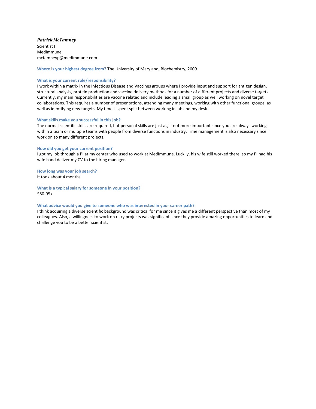## *Patrick McTamney*

Scientist I MedImmune mctamneyp@medimmune.com

**Where is your highest degree from?** The University of Maryland, Biochemistry, 2009

#### **What is your current role/responsibility?**

I work within a matrix in the Infectious Disease and Vaccines groups where I provide input and support for antigen design, structural analysis, protein production and vaccine delivery methods for a number of different projects and diverse targets. Currently, my main responsibilities are vaccine related and include leading a small group as well working on novel target collaborations. This requires a number of presentations, attending many meetings, working with other functional groups, as well as identifying new targets. My time is spent split between working in lab and my desk.

## **What skills make you successful in this job?**

The normal scientific skills are required, but personal skills are just as, if not more important since you are always working within a team or multiple teams with people from diverse functions in industry. Time management is also necessary since I work on so many different projects.

#### **How did you get your current position?**

I got my job through a PI at my center who used to work at MedImmune. Luckily, his wife still worked there, so my PI had his wife hand deliver my CV to the hiring manager.

**How long was your job search?** It took about 4 months

**What is a typical salary for someone in your position?** \$80-95k

#### **What advice would you give to someone who was interested in your career path?**

I think acquiring a diverse scientific background was critical for me since it gives me a different perspective than most of my colleagues. Also, a willingness to work on risky projects was significant since they provide amazing opportunities to learn and challenge you to be a better scientist.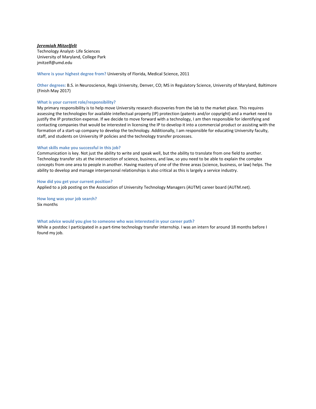## *Jeremiah Mitzelfelt*

Technology Analyst- Life Sciences University of Maryland, College Park jmitzelf@umd.edu

## **Where is your highest degree from?** University of Florida, Medical Science, 2011

**Other degrees:** B.S. in Neuroscience, Regis University, Denver, CO; MS in Regulatory Science, University of Maryland, Baltimore (Finish May 2017)

## **What is your current role/responsibility?**

My primary responsibility is to help move University research discoveries from the lab to the market place. This requires assessing the technologies for available intellectual property (IP) protection (patents and/or copyright) and a market need to justify the IP protection expense. If we decide to move forward with a technology, I am then responsible for identifying and contacting companies that would be interested in licensing the IP to develop it into a commercial product or assisting with the formation of a start-up company to develop the technology. Additionally, I am responsible for educating University faculty, staff, and students on University IP policies and the technology transfer processes.

## **What skills make you successful in this job?**

Communication is key. Not just the ability to write and speak well, but the ability to translate from one field to another. Technology transfer sits at the intersection of science, business, and law, so you need to be able to explain the complex concepts from one area to people in another. Having mastery of one of the three areas (science, business, or law) helps. The ability to develop and manage interpersonal relationships is also critical as this is largely a service industry.

#### **How did you get your current position?**

Applied to a job posting on the Association of University Technology Managers (AUTM) career board (AUTM.net).

**How long was your job search?** Six months

#### **What advice would you give to someone who was interested in your career path?**

While a postdoc I participated in a part-time technology transfer internship. I was an intern for around 18 months before I found my job.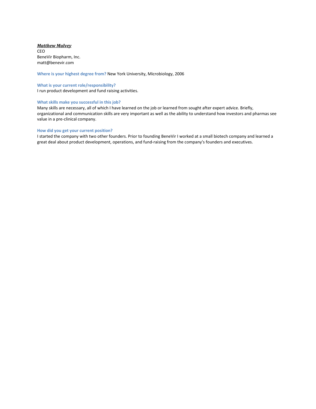## *Matthew Mulvey*

CEO BeneVir Biopharm, Inc. matt@benevir.com

**Where is your highest degree from?** New York University, Microbiology, 2006

## **What is your current role/responsibility?**

I run product development and fund raising activities.

## **What skills make you successful in this job?**

Many skills are necessary, all of which I have learned on the job or learned from sought after expert advice. Briefly, organizational and communication skills are very important as well as the ability to understand how investors and pharmas see value in a pre-clinical company.

## **How did you get your current position?**

I started the company with two other founders. Prior to founding BeneVir I worked at a small biotech company and learned a great deal about product development, operations, and fund-raising from the company's founders and executives.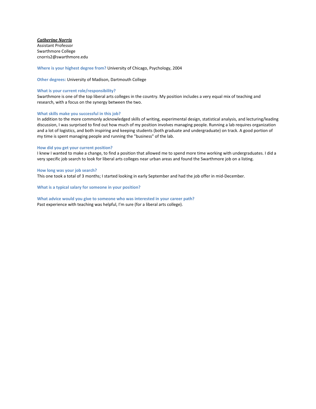## *Catherine Norris*

Assistant Professor Swarthmore College cnorris2@swarthmore.edu

**Where is your highest degree from?** University of Chicago, Psychology, 2004

**Other degrees:** University of Madison, Dartmouth College

## **What is your current role/responsibility?**

Swarthmore is one of the top liberal arts colleges in the country. My position includes a very equal mix of teaching and research, with a focus on the synergy between the two.

## **What skills make you successful in this job?**

In addition to the more commonly acknowledged skills of writing, experimental design, statistical analysis, and lecturing/leading discussion, I was surprised to find out how much of my position involves managing people. Running a lab requires organization and a lot of logistics, and both inspiring and keeping students (both graduate and undergraduate) on track. A good portion of my time is spent managing people and running the "business" of the lab.

## **How did you get your current position?**

I knew I wanted to make a change, to find a position that allowed me to spend more time working with undergraduates. I did a very specific job search to look for liberal arts colleges near urban areas and found the Swarthmore job on a listing.

#### **How long was your job search?**

This one took a total of 3 months; I started looking in early September and had the job offer in mid-December.

**What is a typical salary for someone in your position?**

**What advice would you give to someone who was interested in your career path?** Past experience with teaching was helpful, I'm sure (for a liberal arts college).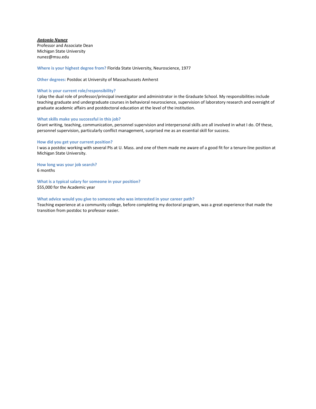*Antonio Nunez* Professor and Associate Dean

Michigan State University nunez@msu.edu

**Where is your highest degree from?** Florida State University, Neuroscience, 1977

**Other degrees:** Postdoc at University of Massachussets Amherst

## **What is your current role/responsibility?**

I play the dual role of professor/principal investigator and administrator in the Graduate School. My responsibilities include teaching graduate and undergraduate courses in behavioral neuroscience, supervision of laboratory research and oversight of graduate academic affairs and postdoctoral education at the level of the institution.

## **What skills make you successful in this job?**

Grant writing, teaching, communication, personnel supervision and interpersonal skills are all involved in what I do. Of these, personnel supervision, particularly conflict management, surprised me as an essential skill for success.

## **How did you get your current position?**

I was a postdoc working with several PIs at U. Mass. and one of them made me aware of a good fit for a tenure-line position at Michigan State University.

**How long was your job search?** 6 months

**What is a typical salary for someone in your position?** \$55,000 for the Academic year

## **What advice would you give to someone who was interested in your career path?**

Teaching experience at a community college, before completing my doctoral program, was a great experience that made the transition from postdoc to professor easier.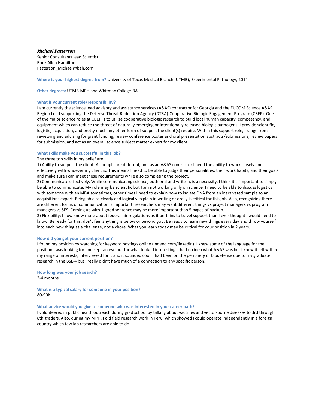*Michael Patterson* Senior Consultant/Lead Scientist Booz Allen Hamilton Patterson\_Michael@bah.com

**Where is your highest degree from?** University of Texas Medical Branch (UTMB), Experimental Pathology, 2014

**Other degrees:** UTMB-MPH and Whitman College-BA

#### **What is your current role/responsibility?**

I am currently the science lead advisory and assistance services (A&AS) contractor for Georgia and the EUCOM Science A&AS Region Lead supporting the Defense Threat Reduction Agency (DTRA)-Cooperative Biologic Engagement Program (CBEP). One of the major science roles at CBEP is to utilize cooperative biologic research to build local human capacity, competency, and equipment which can reduce the threat of naturally emerging or intentionally released biologic pathogens. I provide scientific, logistic, acquisition, and pretty much any other form of support the client(s) require. Within this support role, I range from reviewing and advising for grant funding, review conference poster and oral presentation abstracts/submissions, review papers for submission, and act as an overall science subject matter expert for my client.

#### **What skills make you successful in this job?**

#### The three top skills in my belief are:

1) Ability to support the client. All people are different, and as an A&AS contractor I need the ability to work closely and effectively with whoever my client is. This means I need to be able to judge their personalities, their work habits, and their goals and make sure I can meet these requirements while also completing the project.

2) Communicate effectively. While communicating science, both oral and written, is a necessity, I think it is important to simply be able to communicate. My role may be scientific but I am not working only on science. I need to be able to discuss logistics with someone with an MBA sometimes, other times I need to explain how to isolate DNA from an inactivated sample to an acquisitions expert. Being able to clearly and logically explain in writing or orally is critical for this job. Also, recognizing there are different forms of communication is important: researchers may want different things vs project managers vs program managers vs SES. Coming up with 1 good sentence may be more important than 5 pages of backup.

3) Flexibility: I now know more about federal air regulations as it pertains to travel support than I ever thought I would need to know. Be ready for this; don't feel anything is below or beyond you. Be ready to learn new things every day and throw yourself into each new thing as a challenge, not a chore. What you learn today may be critical for your position in 2 years.

#### **How did you get your current position?**

I found my position by watching for keyword postings online (indeed.com/linkedin). I knew some of the language for the position I was looking for and kept an eye out for what looked interesting. I had no idea what A&AS was but I knew it fell within my range of interests, interviewed for it and it sounded cool. I had been on the periphery of biodefense due to my graduate research in the BSL-4 but I really didn't have much of a connection to any specific person.

**How long was your job search?** 3-4 months

**What is a typical salary for someone in your position?** 80-90k

#### **What advice would you give to someone who was interested in your career path?**

I volunteered in public health outreach during grad school by talking about vaccines and vector-borne diseases to 3rd through 8th graders. Also, during my MPH, I did field research work in Peru, which showed I could operate independently in a foreign country which few lab researchers are able to do.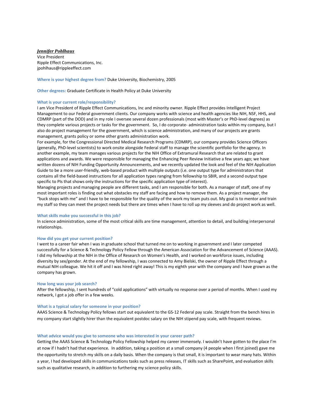*Jennifer Pohlhaus* Vice President Ripple Effect Communications, Inc. jpohlhaus@rippleeffect.com

**Where is your highest degree from?** Duke University, Biochemistry, 2005

**Other degrees:** Graduate Certificate in Health Policy at Duke University

## **What is your current role/responsibility?**

I am Vice President of Ripple Effect Communications, Inc and minority owner. Ripple Effect provides Intelligent Project Management to our Federal government clients. Our company works with science and health agencies like NIH, NSF, HHS, and CDMRP (part of the DOD) and in my role I oversee several dozen professionals (most with Master's or PhD-level degrees) as they complete various projects or tasks for the government. So, I do corporate- administration tasks within my company, but I also do project management for the government, which is science administration, and many of our projects are grants management, grants policy or some other grants administration work.

For example, for the Congressional Directed Medical Research Programs (CDMRP), our company provides Science Officers (generally, PhD-level scientists) to work onsite alongside Federal staff to manage the scientific portfolio for the agency. In another example, my team manages various projects for the NIH Office of Extramural Research that are related to grant applications and awards. We were responsible for managing the Enhancing Peer Review Initiative a few years ago; we have written dozens of NIH Funding Opportunity Announcements, and we recently updated the look and feel of the NIH Application Guide to be a more user-friendly, web-based product with multiple outputs (i.e. one output type for administrators that contains all the field-based instructions for all application types ranging from fellowship to SBIR, and a second output type specific to PIs that shows only the instructions for the specific application type of interest).

Managing projects and managing people are different tasks, and I am responsible for both. As a manager of staff, one of my most important roles is finding out what obstacles my staff are facing and how to remove them. As a project manager, the "buck stops with me" and I have to be responsible for the quality of the work my team puts out. My goal is to mentor and train my staff so they can meet the project needs but there are times when I have to roll up my sleeves and do project work as well.

## **What skills make you successful in this job?**

In science administration, some of the most critical skills are time management, attention to detail, and building interpersonal relationships.

## **How did you get your current position?**

I went to a career fair when I was in graduate school that turned me on to working in government and I later competed successfully for a Science & Technology Policy Fellow through the American Association for the Advancement of Science (AAAS). I did my fellowship at the NIH in the Office of Research on Women's Health, and I worked on workforce issues, including diversity by sex/gender. At the end of my fellowship, I was connected to Amy Bielski, the owner of Ripple Effect through a mutual NIH colleague. We hit it off and I was hired right away! This is my eighth year with the company and I have grown as the company has grown.

## **How long was your job search?**

After the fellowship, I sent hundreds of "cold applications" with virtually no response over a period of months. When I used my network, I got a job offer in a few weeks.

#### **What is a typical salary for someone in your position?**

AAAS Science & Technology Policy fellows start out equivalent to the GS-12 Federal pay scale. Straight from the bench hires in my company start slightly hirer than the equivalent postdoc salary on the NIH stipend pay scale, with frequent reviews.

#### **What advice would you give to someone who was interested in your career path?**

Getting the AAAS Science & Technology Policy Fellowship helped my career immensely. I wouldn't have gotten to the place I'm at now if I hadn't had that experience. In addition, taking a position at a small company (4 people when I first joined) gave me the opportunity to stretch my skills on a daily basis. When the company is that small, it is important to wear many hats. Within a year, I had developed skills in communications tasks such as press releases, IT skills such as SharePoint, and evaluation skills such as qualitative research, in addition to furthering my science policy skills.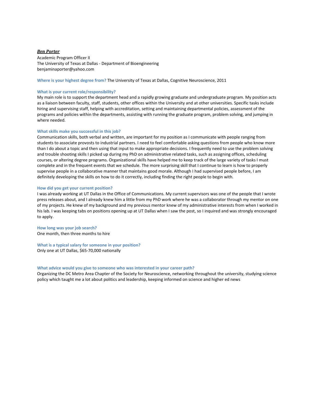#### *Ben Porter*

Academic Program Officer II The University of Texas at Dallas - Department of Bioengineering benjaminaporter@yahoo.com

#### **Where is your highest degree from?** The University of Texas at Dallas, Cognitive Neuroscience, 2011

#### **What is your current role/responsibility?**

My main role is to support the department head and a rapidly growing graduate and undergraduate program. My position acts as a liaison between faculty, staff, students, other offices within the University and at other universities. Specific tasks include hiring and supervising staff, helping with accreditation, setting and maintaining departmental policies, assessment of the programs and policies within the departments, assisting with running the graduate program, problem solving, and jumping in where needed.

#### **What skills make you successful in this job?**

Communication skills, both verbal and written, are important for my position as I communicate with people ranging from students to associate provosts to industrial partners. I need to feel comfortable asking questions from people who know more than I do about a topic and then using that input to make appropriate decisions. I frequently need to use the problem solving and trouble shooting skills I picked up during my PhD on administrative related tasks, such as assigning offices, scheduling courses, or altering degree programs. Organizational skills have helped me to keep track of the large variety of tasks I must complete and in the frequent events that we schedule. The more surprising skill that I continue to learn is how to properly supervise people in a collaborative manner that maintains good morale. Although I had supervised people before, I am definitely developing the skills on how to do it correctly, including finding the right people to begin with.

#### **How did you get your current position?**

I was already working at UT Dallas in the Office of Communications. My current supervisors was one of the people that I wrote press releases about, and I already knew him a little from my PhD work where he was a collaborator through my mentor on one of my projects. He knew of my background and my previous mentor knew of my administrative interests from when I worked in his lab. I was keeping tabs on positions opening up at UT Dallas when I saw the post, so I inquired and was strongly encouraged to apply.

**How long was your job search?** One month, then three months to hire

**What is a typical salary for someone in your position?** Only one at UT Dallas, \$65-70,000 nationally

#### **What advice would you give to someone who was interested in your career path?**

Organizing the DC Metro Area Chapter of the Society for Neuroscience, networking throughout the university, studying science policy which taught me a lot about politics and leadership, keeping informed on science and higher ed news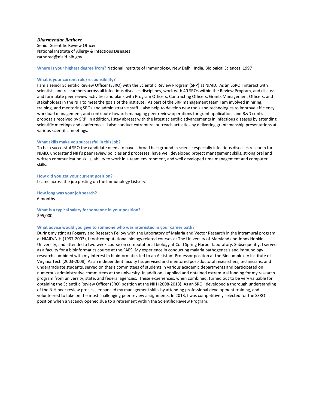## *Dharmendar Rathore*

Senior Scientific Review Officer National Institute of Allergy & Infectious Diseases rathored@niaid.nih.gov

**Where is your highest degree from?** National Institute of Immunology, New Delhi, India, Biological Sciences, 1997

## **What is your current role/responsibility?**

I am a senior Scientific Review Officer (SSRO) with the Scientific Review Program (SRP) at NIAID. As an SSRO I interact with scientists and researchers across all infectious diseases disciplines, work with 40 SROs within the Review Program, and discuss and formulate peer review activities and plans with Program Officers, Contracting Officers, Grants Management Officers, and stakeholders in the NIH to meet the goals of the institute. As part of the SRP management team I am involved in hiring, training, and mentoring SROs and administrative staff. I also help to develop new tools and technologies to improve efficiency, workload management, and contribute towards managing peer review operations for grant applications and R&D contract proposals received by SRP. In addition, I stay abreast with the latest scientific advancements in infectious diseases by attending scientific meetings and conferences. I also conduct extramural outreach activities by delivering grantsmanship presentations at various scientific meetings.

## **What skills make you successful in this job?**

To be a successful SRO the candidate needs to have a broad background in science especially infectious diseases research for NIAID, understand NIH's peer review policies and processes, have well developed project management skills, strong oral and written communication skills, ability to work in a team environment, and well developed time management and computer skills.

#### **How did you get your current position?**

I came across the job posting on the Immunology Listserv.

**How long was your job search?** 6 months

**What is a typical salary for someone in your position?** \$95,000

#### **What advice would you give to someone who was interested in your career path?**

During my stint as Fogarty and Research Fellow with the Laboratory of Malaria and Vector Research in the intramural program at NIAID/NIH (1997-2003), I took computational biology related courses at The University of Maryland and Johns Hopkins University, and attended a two week course on computational biology at Cold Spring Harbor laboratory. Subsequently, I served as a faculty for a bioinformatics course at the FAES. My experience in conducting malaria pathogenesis and immunology research combined with my interest in bioinformatics led to an Assistant Professor position at the Biocomplexity Institute of Virginia Tech (2003-2008). As an independent faculty I supervised and mentored post-doctoral researchers, technicians, and undergraduate students, served on thesis committees of students in various academic departments and participated on numerous administrative committees at the university. In addition, I applied and obtained extramural funding for my research program from university, state, and federal agencies. These experiences, when combined, turned out to be very valuable for obtaining the Scientific Review Officer (SRO) position at the NIH (2008-2013). As an SRO I developed a thorough understanding of the NIH peer review process, enhanced my management skills by attending professional development training, and volunteered to take on the most challenging peer review assignments. In 2013, I was competitively selected for the SSRO position when a vacancy opened due to a retirement within the Scientific Review Program.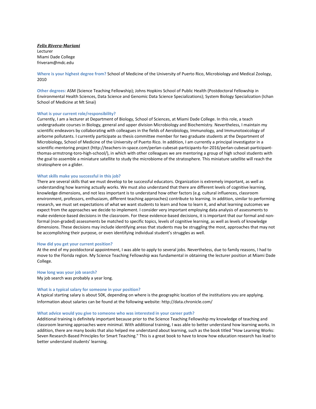*Felix Rivera-Mariani* Lecturer Miami Dade College friveram@mdc.edu

**Where is your highest degree from?** School of Medicine of the University of Puerto Rico, Microbiology and Medical Zoology, 2010

**Other degrees:** ASM (Science Teaching Fellowship); Johns Hopkins School of Public Health (Postdoctoral Fellowship in Environmental Health Sciences, Data Science and Genomic Data Science Specializations); System Biology Specialization (Ichan School of Medicine at Mt Sinai)

#### **What is your current role/responsibility?**

Currently, I am a lecturer at Department of Biology, School of Sciences, at Miami Dade College. In this role, a teach undergraduate courses in Biology, general and upper division Microbiology and Biochemistry. Nevertheless, I maintain my scientific endeavors by collaborating with colleagues in the fields of Aerobiology, Immunology, and Immunotoxicology of airborne pollutants. I currently participate as thesis committee member for two graduate students at the Department of Microbiology, School of Medicine of the University of Puerto Rico. In addition, I am currently a principal investigator in a scientific-mentoring project (http://teachers-in-space.com/perlan-cubesat-participants-for-2016/perlan-cubesat-participantthomas-armstrong-toro-high-school/), in which with other colleagues we are mentoring a group of high school students with the goal to assemble a miniature satellite to study the microbiome of the stratosphere. This miniature satellite will reach the stratosphere on a glider.

#### **What skills make you successful in this job?**

There are several skills that we must develop to be successful educators. Organization is extremely important, as well as understanding how learning actually works. We must also understand that there are different levels of cognitive learning, knowledge dimensions, and not less important is to understand how other factors (e.g. cultural influences, classroom environment, professors, enthusiasm, different teaching approaches) contribute to learning. In addition, similar to performing research, we must set expectations of what we want students to learn and how to learn it, and what learning outcomes we expect from the approaches we decide to implement. I consider very important employing data analysis of assessments to make evidence-based decisions in the classroom. For these evidence-based decisions, it is important that our formal and nonformal (non-graded) assessments be matched to specific topics, levels of cognitive learning, as well as levels of knowledge dimensions. These decisions may include identifying areas that students may be struggling the most, approaches that may not be accomplishing their purpose, or even identifying individual student's struggles as well.

#### **How did you get your current position?**

At the end of my postdoctoral appointment, I was able to apply to several jobs. Nevertheless, due to family reasons, I had to move to the Florida region. My Science Teaching Fellowship was fundamental in obtaining the lecturer position at Miami Dade College.

#### **How long was your job search?**

My job search was probably a year long.

## **What is a typical salary for someone in your position?**

A typical starting salary is about 50K, depending on where is the geographic location of the institutions you are applying. Information about salaries can be found at the following website: http://data.chronicle.com/

#### **What advice would you give to someone who was interested in your career path?**

Additional training is definitely important because prior to the Science Teaching Fellowship my knowledge of teaching and classroom learning approaches were minimal. With additional training, I was able to better understand how learning works. In addition, there are many books that also helped me understand about learning, such as the book titled "How Learning Works: Seven Research-Based Principles for Smart Teaching." This is a great book to have to know how education research has lead to better understand students' learning.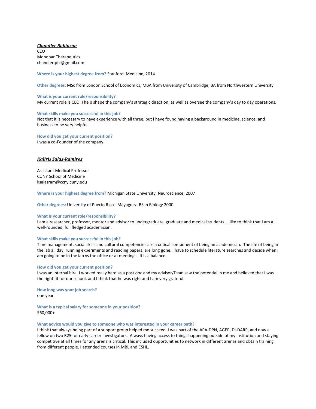*Chandler Robinson* CEO Monopar Therapeutics chandler.pfc@gmail.com

**Where is your highest degree from?** Stanford, Medicine, 2014

**Other degrees:** MSc from London School of Economics, MBA from University of Cambridge, BA from Northwestern University

#### **What is your current role/responsibility?**

My current role is CEO. I help shape the company's strategic direction, as well as oversee the company's day to day operations.

#### **What skills make you successful in this job?**

Not that it is necessary to have experience with all three, but I have found having a background in medicine, science, and business to be very helpful.

**How did you get your current position?**  I was a co-Founder of the company.

#### *Kaliris Salas-Ramirez*

Assistant Medical Professor CUNY School of Medicine ksalasram@ccny.cuny.edu

**Where is your highest degree from?** Michigan State University, Neuroscience, 2007

**Other degrees:** University of Puerto Rico - Mayaguez, BS in Biology 2000

#### **What is your current role/responsibility?**

I am a researcher, professor, mentor and advisor to undergraduate, graduate and medical students. I like to think that I am a well-rounded, full fledged academician.

#### **What skills make you successful in this job?**

Time management, social skills and cultural competencies are a critical component of being an academician. The life of being in the lab all day, running experiments and reading papers, are long gone. I have to schedule literature searches and decide when I am going to be in the lab vs the office or at meetings. It is a balance.

#### **How did you get your current position?**

I was an internal hire. I worked really hard as a post doc and my advisor/Dean saw the potential in me and believed that I was the right fit for our school, and I think that he was right and I am very grateful.

**How long was your job search?** one year

**What is a typical salary for someone in your position?** \$60,000+

#### **What advice would you give to someone who was interested in your career path?**

I think that always being part of a support group helped me succeed. I was part of the APA-DPN, AGEP, DI-DARP, and now a fellow on two R25 for early career investigators. Always having access to things happening outside of my institution and staying competitive at all times for any arena is critical. This included opportunities to network in different arenas and obtain training from different people. I attended courses in MBL and CSHL.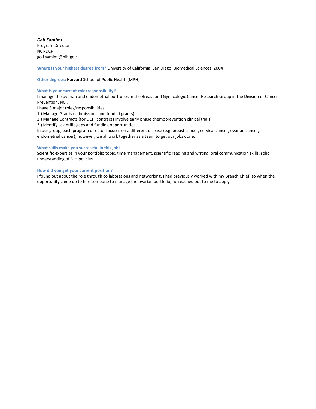*Goli Samimi* Program Director NCI/DCP goli.samimi@nih.gov

**Where is your highest degree from?** University of California, San Diego, Biomedical Sciences, 2004

**Other degrees:** Harvard School of Public Health (MPH)

## **What is your current role/responsibility?**

I manage the ovarian and endometrial portfolios in the Breast and Gynecologic Cancer Research Group in the Division of Cancer Prevention, NCI.

I have 3 major roles/responsibilities:

1.) Manage Grants (submissions and funded grants)

2.) Manage Contracts (for DCP, contracts involve early phase chemoprevention clinical trials)

3.) Identify scientific gaps and funding opportunities

In our group, each program director focuses on a different disease (e.g. breast cancer, cervical cancer, ovarian cancer, endometrial cancer); however, we all work together as a team to get our jobs done.

## **What skills make you successful in this job?**

Scientific expertise in your portfolio topic, time management, scientific reading and writing, oral communication skills, solid understanding of NIH policies

## **How did you get your current position?**

I found out about the role through collaborations and networking. I had previously worked with my Branch Chief, so when the opportunity came up to hire someone to manage the ovarian portfolio, he reached out to me to apply.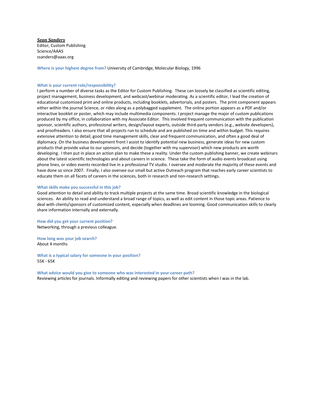*Sean Sanders* Editor, Custom Publishing Science/AAAS ssanders@aaas.org

**Where is your highest degree from?** University of Cambridge, Molecular Biology, 1996

#### **What is your current role/responsibility?**

I perform a number of diverse tasks as the Editor for Custom Publishing. These can loosely be classified as scientific editing, project management, business development, and webcast/webinar moderating. As a scientific editor, I lead the creation of educational customized print and online products, including booklets, advertorials, and posters. The print component appears either within the journal Science, or rides along as a polybagged supplement. The online portion appears as a PDF and/or interactive booklet or poster, which may include multimedia components. I project manage the major of custom publications produced by my office, in collaboration with my Associate Editor. This involved frequent communication with the publication sponsor, scientific authors, professional writers, design/layout experts, outside third-party vendors (e.g., website developers), and proofreaders. I also ensure that all projects run to schedule and are published on time and within budget. This requires extensive attention to detail, good time management skills, clear and frequent communication, and often a good deal of diplomacy. On the business development front I assist to identify potential new business, generate ideas for new custom products that provide value to our sponsors, and decide (together with my supervisor) which new products are worth developing. I then put in place an action plan to make these a reality. Under the custom publishing banner, we create webinars about the latest scientific technologies and about careers in science. These take the form of audio events broadcast using phone lines, or video events recorded live in a professional TV studio. I oversee and moderate the majority of these events and have done so since 2007. Finally, I also oversee our small but active Outreach program that reaches early career scientists to educate them on all facets of careers in the sciences, both in research and non-research settings.

#### **What skills make you successful in this job?**

Good attention to detail and ability to track multiple projects at the same time. Broad scientific knowledge in the biological sciences. An ability to read and understand a broad range of topics, as well as edit content in those topic areas. Patience to deal with clients/sponsors of customized content, especially when deadlines are looming. Good communication skills to clearly share information internally and externally.

**How did you get your current position?**  Networking, through a previous colleague.

**How long was your job search?** About 4 months

**What is a typical salary for someone in your position?** 55K - 65K

**What advice would you give to someone who was interested in your career path?** Reviewing articles for journals. Informally editing and reviewing papers for other scientists when I was in the lab.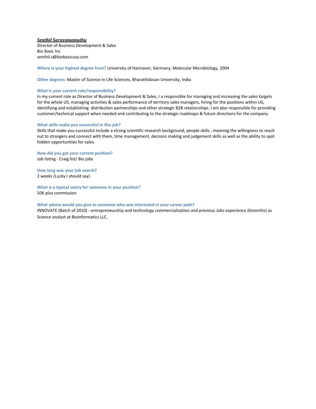*Senthil Saravanamuthu*

Director of Business Development & Sales Bio Basic Inc senthil.s@biobasicusa.com

**Where is your highest degree from?** University of Hannover, Germany, Molecular Microbiology, 2004

**Other degrees:** Master of Science in Life Sciences, Bharathidasan University, India

#### **What is your current role/responsibility?**

In my current role as Director of Business Development & Sales, I a responsible for managing and increasing the sales targets for the whole US, managing activities & sales performance of territory sales managers, hiring for the positions within US, identifying and establishing distribution partnerships and other strategic B2B relationships. I am also responsible for providing customer/technical support when needed and contributing to the strategic roadmaps & future directions for the company.

#### **What skills make you successful in this job?**

Skills that make you successful include a strong scientific research background, people skills , meaning the willingness to reach out to strangers and connect with them, time management, decision making and judgement skills as well as the ability to spot hidden opportunities for sales.

**How did you get your current position?**  Job listing - Craig list/ Bio jobs

**How long was your job search?** 2 weeks (Lucky I should say)

**What is a typical salary for someone in your position?** 50K plus commission

## **What advice would you give to someone who was interested in your career path?**

INNOVATE (Batch of 2010) - entrepreneurship and technology commercialization and previous Jobs experience (6months) as Science analyst at Bioinformatics LLC.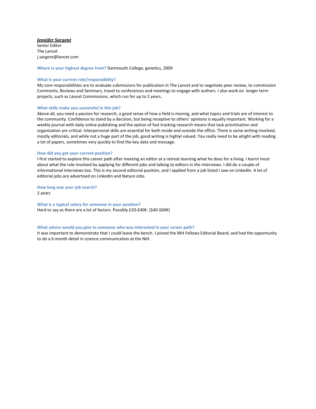## *Jennifer Sargent*

Senior Editor The Lancet j.sargent@lancet.com

**Where is your highest degree from?** Dartmouth College, genetics, 2009

## **What is your current role/responsibility?**

My core responsibilities are to evaluate submissions for publication in The Lancet and to negotiate peer review, to commission Comments, Reviews and Seminars, travel to conferences and meetings to engage with authors. I also work on longer term projects, such as Lancet Commissions, which run for up to 2 years.

#### **What skills make you successful in this job?**

Above all, you need a passion for research, a good sense of how a field is moving, and what topics and trials are of interest to the community. Confidence to stand by a decision, but being receptive to others' opinions is equally important. Working for a weekly journal with daily online publishing and the option of fast tracking research means that task prioritisation and organisation are critical. Interpersonal skills are essential for both inside and outside the office. There is some writing involved, mostly editorials, and while not a huge part of the job, good writing is highlyl valued. You really need to be alright with reading a lot of papers, sometimes very quickly to find the key data and message.

#### **How did you get your current position?**

I first started to explore this career path after meeting an editor at a retreat learning what he does for a living. I learnt most about what the role involved by applying for different jobs and talking to editors in the interviews. I did do a couple of informational interviews too. This is my second editorial position, and I applied from a job listed I saw on LinkedIn. A lot of editorial jobs are advertised on LinkedIn and Nature Jobs.

## **How long was your job search?** 2 years

**What is a typical salary for someone in your position?** Hard to say as there are a lot of factors. Possibly £20-£40K. (\$40-\$60K)

#### **What advice would you give to someone who was interested in your career path?**

It was important to demonstrate that I could leave the bench. I joined the NIH Fellows Editorial Board, and had the opportunity to do a 6 month detail in science communication at the NIH.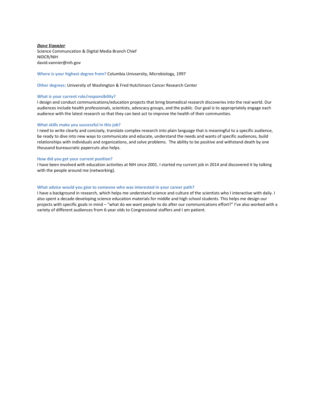*Dave Vannier* Science Communcation & Digital Media Branch Chief NIDCR/NIH david.vannier@nih.gov

**Where is your highest degree from?** Columbia Univsersity, Microbiology, 1997

**Other degrees:** University of Washington & Fred Hutchinson Cancer Research Center

#### **What is your current role/responsibility?**

I design and conduct communications/education projects that bring biomedical research discoveries into the real world. Our audiences include health professionals, scientists, advocacy groups, and the public. Our goal is to appropriately engage each audience with the latest research so that they can best act to improve the health of their communities.

#### **What skills make you successful in this job?**

I need to write clearly and concisely, translate complex research into plain language that is meaningful to a specific audience, be ready to dive into new ways to communicate and educate, understand the needs and wants of specific audiences, build relationships with individuals and organizations, and solve problems. The ability to be positive and withstand death by one thousand bureaucratic papercuts also helps.

#### **How did you get your current position?**

I have been involved with education activities at NIH since 2001. I started my current job in 2014 and discovered it by talking with the people around me (networking).

## **What advice would you give to someone who was interested in your career path?**

I have a background in research, which helps me understand science and culture of the scientists who I interactive with daily. I also spent a decade developing science education materials for middle and high school students. This helps me design our projects with specific goals in mind – "what do we want people to do after our communications effort?" I've also worked with a variety of different audiences from 6-year olds to Congressional staffers and I am patient.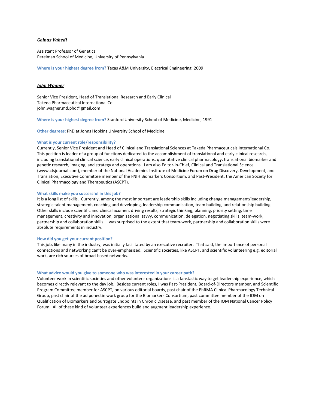## *Golnaz Vahedi*

Assistant Professor of Genetics Perelman School of Medicine, University of Pennsylvania

**Where is your highest degree from?** Texas A&M University, Electrical Engineering, 2009

## *John Wagner*

Senior Vice President, Head of Translational Research and Early Clinical Takeda Pharmaceutical International Co. john.wagner.md.phd@gmail.com

**Where is your highest degree from?** Stanford University School of Medicine, Medicine, 1991

**Other degrees:** PhD at Johns Hopkins University School of Medicine

## **What is your current role/responsibility?**

Currently, Senior Vice President and Head of Clinical and Translational Sciences at Takeda Pharmaceuticals International Co. This position is leader of a group of functions dedicated to the accomplishment of translational and early clinical research, including translational clinical science, early clinical operations, quantitative clinical pharmacology, translational biomarker and genetic research, imaging, and strategy and operations. I am also Editor-in-Chief, Clinical and Translational Science (www.ctsjournal.com), member of the National Academies Institute of Medicine Forum on Drug Discovery, Development, and Translation, Executive Committee member of the FNIH Biomarkers Consortium, and Past-President, the American Society for Clinical Pharmacology and Therapeutics (ASCPT).

## **What skills make you successful in this job?**

It is a long list of skills. Currently, among the most important are leadership skills including change management/leadership, strategic talent management, coaching and developing, leadership communication, team building, and relationship building. Other skills include scientific and clinical acumen, driving results, strategic thinking, planning, priority setting, time management, creativity and innovation, organizational savvy, communication, delegation, negotiating skills, team-work, partnership and collaboration skills. I was surprised to the extent that team-work, partnership and collaboration skills were absolute requirements in industry.

#### **How did you get your current position?**

This job, like many in the industry, was initially facilitated by an executive recruiter. That said, the importance of personal connections and networking can't be over-emphasized. Scientific societies, like ASCPT, and scientific volunteering e.g. editorial work, are rich sources of broad-based networks.

#### **What advice would you give to someone who was interested in your career path?**

Volunteer work in scientific societies and other volunteer organizations is a fanstastic way to get leadership experience, which becomes directly relevant to the day job. Besides current roles, I was Past-President, Board-of-Directors member, and Scientific Program Committee member for ASCPT, on various editorial boards, past chair of the PhRMA Clinical Pharmacology Technical Group, past chair of the adiponectin work group for the Biomarkers Consortium, past committee member of the IOM on Qualification of Biomarkers and Surrogate Endpoints in Chronic Disease, and past member of the IOM National Cancer Policy Forum. All of these kind of volunteer experiences build and augment leadership experience.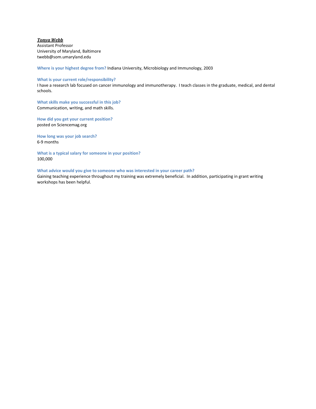*Tonya Webb* Assistant Professor University of Maryland, Baltimore twebb@som.umaryland.edu

**Where is your highest degree from?** Indiana University, Microbiology and Immunology, 2003

## **What is your current role/responsibility?**

I have a research lab focused on cancer immunology and immunotherapy. I teach classes in the graduate, medical, and dental schools.

**What skills make you successful in this job?**  Communication, writing, and math skills.

**How did you get your current position?**  posted on Sciencemag.org

**How long was your job search?** 6-9 months

**What is a typical salary for someone in your position?** 100,000

## **What advice would you give to someone who was interested in your career path?**

Gaining teaching experience throughout my training was extremely beneficial. In addition, participating in grant writing workshops has been helpful.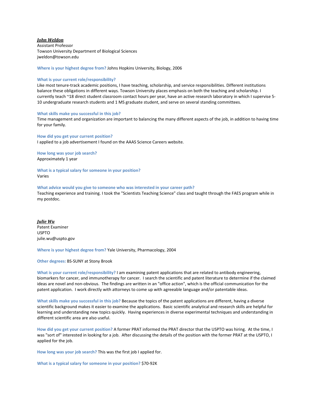## *John Weldon*

Assistant Professor Towson University Department of Biological Sciences jweldon@towson.edu

**Where is your highest degree from?** Johns Hopkins University, Biology, 2006

#### **What is your current role/responsibility?**

Like most tenure-track academic positions, I have teaching, scholarship, and service responsibilities. Different institutions balance these obligations in different ways. Towson University places emphasis on both the teaching and scholarship. I currently teach ~18 direct student classroom contact hours per year, have an active research laboratory in which I supervise 5- 10 undergraduate research students and 1 MS graduate student, and serve on several standing committees.

#### **What skills make you successful in this job?**

Time management and organization are important to balancing the many different aspects of the job, in addition to having time for your family.

**How did you get your current position?**  I applied to a job advertisement I found on the AAAS Science Careers website.

**How long was your job search?** Approximately 1 year

**What is a typical salary for someone in your position?** Varies

**What advice would you give to someone who was interested in your career path?** Teaching experience and training. I took the "Scientists Teaching Science" class and taught through the FAES program while in my postdoc.

*Julie Wu* Patent Examiner USPTO julie.wu@uspto.gov

**Where is your highest degree from?** Yale University, Pharmacology, 2004

**Other degrees:** BS-SUNY at Stony Brook

**What is your current role/responsibility?** I am examining patent applications that are related to antibody engineering, biomarkers for cancer, and immunotherapy for cancer. I search the scientific and patent literature to determine if the claimed ideas are novel and non-obvious. The findings are written in an "office action", which is the official communication for the patent application. I work directly with attorneys to come up with agreeable language and/or patentable ideas.

**What skills make you successful in this job?** Because the topics of the patent applications are different, having a diverse scientific background makes it easier to examine the applications. Basic scientific analytical and research skills are helpful for learning and understanding new topics quickly. Having experiences in diverse experimental techniques and understanding in different scientific area are also useful.

**How did you get your current position?** A former PRAT informed the PRAT director that the USPTO was hiring. At the time, I was "sort of" interested in looking for a job. After discussing the details of the position with the former PRAT at the USPTO, I applied for the job.

**How long was your job search?** This was the first job I applied for.

**What is a typical salary for someone in your position?** \$70-92K